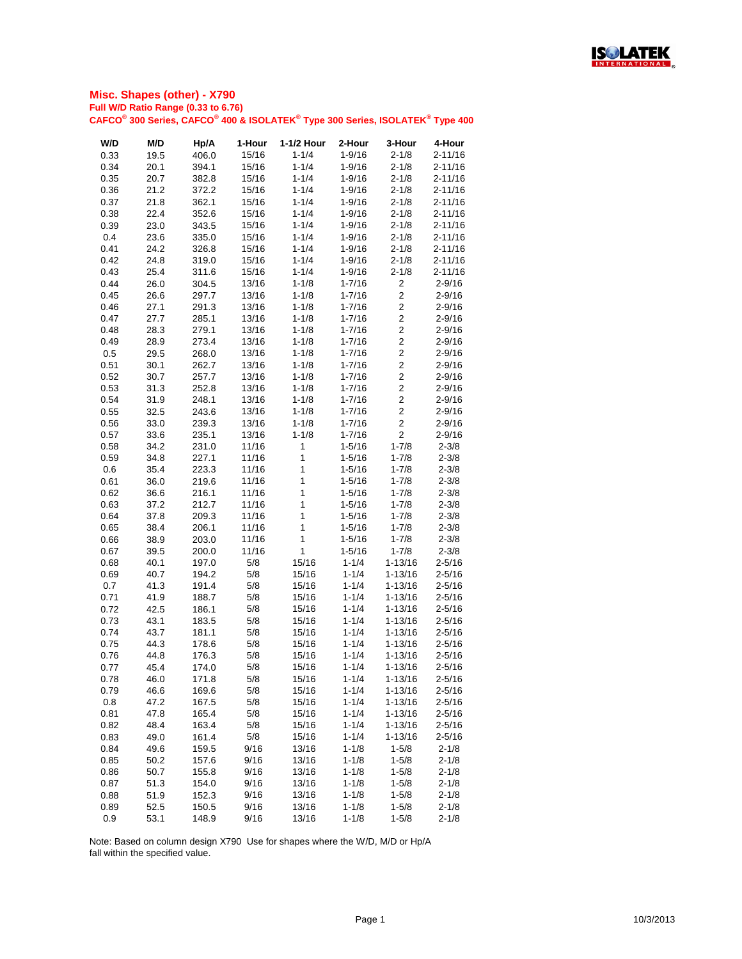

| 15/16<br>$1 - 1/4$<br>$2 - 11/16$<br>0.33<br>19.5<br>406.0<br>$1 - 9/16$<br>$2 - 1/8$<br>0.34<br>20.1<br>394.1<br>15/16<br>$1 - 1/4$<br>$1 - 9/16$<br>$2 - 1/8$<br>$2 - 11/16$<br>$1 - 1/4$<br>0.35<br>20.7<br>15/16<br>$1 - 9/16$<br>$2 - 1/8$<br>$2 - 11/16$<br>382.8<br>$1 - 1/4$<br>$1 - 9/16$<br>$2 - 1/8$<br>$2 - 11/16$<br>0.36<br>21.2<br>15/16<br>372.2<br>21.8<br>$1 - 1/4$<br>$2 - 1/8$<br>0.37<br>362.1<br>15/16<br>$1 - 9/16$<br>$2 - 11/16$<br>$1 - 1/4$<br>$2 - 1/8$<br>$2 - 11/16$<br>15/16<br>$1 - 9/16$<br>0.38<br>22.4<br>352.6<br>$1 - 1/4$<br>0.39<br>23.0<br>343.5<br>15/16<br>$1 - 9/16$<br>$2 - 1/8$<br>$2 - 11/16$<br>$1 - 1/4$<br>0.4<br>23.6<br>335.0<br>15/16<br>$1 - 9/16$<br>$2 - 1/8$<br>$2 - 11/16$<br>$1 - 1/4$<br>0.41<br>24.2<br>326.8<br>15/16<br>$1 - 9/16$<br>$2 - 1/8$<br>$2 - 11/16$<br>15/16<br>$1 - 1/4$<br>$1 - 9/16$<br>$2 - 1/8$<br>$2 - 11/16$<br>0.42<br>24.8<br>319.0<br>$1 - 1/4$<br>0.43<br>25.4<br>311.6<br>15/16<br>$1 - 9/16$<br>$2 - 1/8$<br>$2 - 11/16$<br>0.44<br>26.0<br>304.5<br>13/16<br>$1 - 1/8$<br>$1 - 7/16$<br>$\overline{\mathbf{c}}$<br>$2 - 9/16$<br>$\overline{c}$<br>26.6<br>297.7<br>13/16<br>$1 - 1/8$<br>$2 - 9/16$<br>0.45<br>$1 - 7/16$<br>$\overline{c}$<br>13/16<br>$1 - 1/8$<br>$2 - 9/16$<br>0.46<br>27.1<br>291.3<br>$1 - 7/16$<br>$\overline{2}$<br>0.47<br>27.7<br>285.1<br>13/16<br>$1 - 1/8$<br>$1 - 7/16$<br>$2 - 9/16$<br>$\overline{c}$<br>0.48<br>28.3<br>279.1<br>13/16<br>$1 - 1/8$<br>$1 - 7/16$<br>$2 - 9/16$<br>$\overline{c}$<br>0.49<br>28.9<br>273.4<br>13/16<br>$1 - 1/8$<br>$1 - 7/16$<br>$2 - 9/16$<br>$\overline{2}$<br>0.5<br>13/16<br>$1 - 1/8$<br>$1 - 7/16$<br>$2 - 9/16$<br>29.5<br>268.0<br>$\overline{2}$<br>$1 - 1/8$<br>$2 - 9/16$<br>0.51<br>30.1<br>262.7<br>13/16<br>$1 - 7/16$<br>$\overline{2}$<br>$1 - 1/8$<br>0.52<br>30.7<br>13/16<br>$1 - 7/16$<br>$2 - 9/16$<br>257.7<br>$\overline{2}$<br>0.53<br>31.3<br>252.8<br>13/16<br>$1 - 1/8$<br>$1 - 7/16$<br>$2 - 9/16$<br>$\overline{2}$<br>13/16<br>$1 - 1/8$<br>$1 - 7/16$<br>$2 - 9/16$<br>0.54<br>31.9<br>248.1<br>$\overline{2}$<br>0.55<br>32.5<br>243.6<br>13/16<br>$1 - 1/8$<br>$1 - 7/16$<br>$2 - 9/16$<br>$\overline{c}$<br>0.56<br>33.0<br>239.3<br>13/16<br>$1 - 1/8$<br>$1 - 7/16$<br>$2 - 9/16$<br>$\overline{2}$<br>0.57<br>33.6<br>235.1<br>13/16<br>$1 - 1/8$<br>$1 - 7/16$<br>$2 - 9/16$<br>$1 - 7/8$<br>11/16<br>0.58<br>34.2<br>231.0<br>1<br>$1 - 5/16$<br>$2 - 3/8$<br>0.59<br>34.8<br>227.1<br>11/16<br>$\mathbf 1$<br>$1 - 5/16$<br>$1 - 7/8$<br>$2 - 3/8$<br>0.6<br>35.4<br>223.3<br>11/16<br>1<br>$1 - 7/8$<br>$2 - 3/8$<br>$1 - 5/16$<br>1<br>0.61<br>36.0<br>219.6<br>$1 - 7/8$<br>$2 - 3/8$<br>11/16<br>$1 - 5/16$<br>1<br>11/16<br>$1 - 7/8$<br>$2 - 3/8$<br>36.6<br>216.1<br>$1 - 5/16$<br>0.62<br>1<br>0.63<br>37.2<br>212.7<br>$1 - 5/16$<br>$1 - 7/8$<br>$2 - 3/8$<br>11/16<br>1<br>37.8<br>11/16<br>$1 - 7/8$<br>$2 - 3/8$<br>0.64<br>209.3<br>$1 - 5/16$<br>1<br>206.1<br>$2 - 3/8$<br>0.65<br>38.4<br>11/16<br>$1 - 5/16$<br>$1 - 7/8$<br>1<br>$1 - 5/16$<br>$1 - 7/8$<br>$2 - 3/8$<br>0.66<br>38.9<br>203.0<br>11/16<br>1<br>0.67<br>39.5<br>200.0<br>11/16<br>$1 - 5/16$<br>$1 - 7/8$<br>$2 - 3/8$<br>5/8<br>$1 - 1/4$<br>$1 - 13/16$<br>$2 - 5/16$<br>0.68<br>40.1<br>197.0<br>15/16<br>5/8<br>40.7<br>$1 - 1/4$<br>0.69<br>194.2<br>15/16<br>$1 - 13/16$<br>$2 - 5/16$<br>5/8<br>0.7<br>191.4<br>15/16<br>$1 - 1/4$<br>$1 - 13/16$<br>$2 - 5/16$<br>41.3<br>0.71<br>5/8<br>$1 - 1/4$<br>$2 - 5/16$<br>41.9<br>188.7<br>15/16<br>$1 - 13/16$<br>0.72<br>5/8<br>$1 - 1/4$<br>42.5<br>186.1<br>15/16<br>$1 - 13/16$<br>$2 - 5/16$<br>5/8<br>$1 - 1/4$<br>0.73<br>43.1<br>183.5<br>15/16<br>$1 - 13/16$<br>$2 - 5/16$<br>5/8<br>$1 - 1/4$<br>15/16<br>$1 - 13/16$<br>$2 - 5/16$<br>0.74<br>43.7<br>181.1<br>44.3<br>5/8<br>$1 - 1/4$<br>$2 - 5/16$<br>0.75<br>178.6<br>15/16<br>$1 - 13/16$<br>5/8<br>$1 - 1/4$<br>$2 - 5/16$<br>0.76<br>44.8<br>176.3<br>15/16<br>$1 - 13/16$<br>5/8<br>$1 - 1/4$<br>0.77<br>45.4<br>174.0<br>15/16<br>$1 - 13/16$<br>$2 - 5/16$<br>5/8<br>$1 - 1/4$<br>46.0<br>15/16<br>$1 - 13/16$<br>$2 - 5/16$<br>0.78<br>171.8<br>46.6<br>5/8<br>$1 - 1/4$<br>$1 - 13/16$<br>$2 - 5/16$<br>0.79<br>169.6<br>15/16<br>5/8<br>$1 - 1/4$<br>$1 - 13/16$<br>$2 - 5/16$<br>0.8<br>47.2<br>167.5<br>15/16<br>0.81<br>5/8<br>$1 - 1/4$<br>47.8<br>165.4<br>15/16<br>$1 - 13/16$<br>$2 - 5/16$<br>5/8<br>$1 - 1/4$<br>163.4<br>15/16<br>$1 - 13/16$<br>$2 - 5/16$<br>0.82<br>48.4<br>49.0<br>161.4<br>5/8<br>$1 - 1/4$<br>$1 - 13/16$<br>$2 - 5/16$<br>0.83<br>15/16<br>9/16<br>$1 - 1/8$<br>0.84<br>49.6<br>159.5<br>13/16<br>$1 - 5/8$<br>$2 - 1/8$<br>9/16<br>$1 - 1/8$<br>0.85<br>50.2<br>157.6<br>13/16<br>$1 - 5/8$<br>$2 - 1/8$<br>9/16<br>$1 - 1/8$<br>0.86<br>50.7<br>13/16<br>$1 - 5/8$<br>$2 - 1/8$<br>155.8<br>51.3<br>9/16<br>13/16<br>$1 - 1/8$<br>$1 - 5/8$<br>$2 - 1/8$<br>0.87<br>154.0<br>51.9<br>9/16<br>$1 - 1/8$<br>$1 - 5/8$<br>$2 - 1/8$<br>0.88<br>152.3<br>13/16<br>9/16<br>$1 - 1/8$<br>$2 - 1/8$<br>0.89<br>52.5<br>150.5<br>13/16<br>$1 - 5/8$<br>0.9<br>148.9<br>9/16<br>13/16<br>$1 - 1/8$<br>$1 - 5/8$<br>$2 - 1/8$<br>53.1 | W/D | M/D | Hp/A | 1-Hour | 1-1/2 Hour | 2-Hour | 3-Hour | 4-Hour |
|---------------------------------------------------------------------------------------------------------------------------------------------------------------------------------------------------------------------------------------------------------------------------------------------------------------------------------------------------------------------------------------------------------------------------------------------------------------------------------------------------------------------------------------------------------------------------------------------------------------------------------------------------------------------------------------------------------------------------------------------------------------------------------------------------------------------------------------------------------------------------------------------------------------------------------------------------------------------------------------------------------------------------------------------------------------------------------------------------------------------------------------------------------------------------------------------------------------------------------------------------------------------------------------------------------------------------------------------------------------------------------------------------------------------------------------------------------------------------------------------------------------------------------------------------------------------------------------------------------------------------------------------------------------------------------------------------------------------------------------------------------------------------------------------------------------------------------------------------------------------------------------------------------------------------------------------------------------------------------------------------------------------------------------------------------------------------------------------------------------------------------------------------------------------------------------------------------------------------------------------------------------------------------------------------------------------------------------------------------------------------------------------------------------------------------------------------------------------------------------------------------------------------------------------------------------------------------------------------------------------------------------------------------------------------------------------------------------------------------------------------------------------------------------------------------------------------------------------------------------------------------------------------------------------------------------------------------------------------------------------------------------------------------------------------------------------------------------------------------------------------------------------------------------------------------------------------------------------------------------------------------------------------------------------------------------------------------------------------------------------------------------------------------------------------------------------------------------------------------------------------------------------------------------------------------------------------------------------------------------------------------------------------------------------------------------------------------------------------------------------------------------------------------------------------------------------------------------------------------------------------------------------------------------------------------------------------------------------------------------------------------------------------------------------------------------------------------------------------------------------------------------------------------------------------------------------------------------------------------------------------------------------------------------------------------------------------------------------------------------------------------------------------------------------------------------------------------------------------------------------------------------------------------------------------------------------------------------------------------------------------------------------------------------------------------------------------------------------------------------------------------------------------------------------------------------------------------------------------------------------------------------------------------------------------------------------------------------------------------------------------------------------------------------------------------------------------------------------------------------------------------------------------------------------------------|-----|-----|------|--------|------------|--------|--------|--------|
|                                                                                                                                                                                                                                                                                                                                                                                                                                                                                                                                                                                                                                                                                                                                                                                                                                                                                                                                                                                                                                                                                                                                                                                                                                                                                                                                                                                                                                                                                                                                                                                                                                                                                                                                                                                                                                                                                                                                                                                                                                                                                                                                                                                                                                                                                                                                                                                                                                                                                                                                                                                                                                                                                                                                                                                                                                                                                                                                                                                                                                                                                                                                                                                                                                                                                                                                                                                                                                                                                                                                                                                                                                                                                                                                                                                                                                                                                                                                                                                                                                                                                                                                                                                                                                                                                                                                                                                                                                                                                                                                                                                                                                                                                                                                                                                                                                                                                                                                                                                                                                                                                                                                                                                 |     |     |      |        |            |        |        |        |
|                                                                                                                                                                                                                                                                                                                                                                                                                                                                                                                                                                                                                                                                                                                                                                                                                                                                                                                                                                                                                                                                                                                                                                                                                                                                                                                                                                                                                                                                                                                                                                                                                                                                                                                                                                                                                                                                                                                                                                                                                                                                                                                                                                                                                                                                                                                                                                                                                                                                                                                                                                                                                                                                                                                                                                                                                                                                                                                                                                                                                                                                                                                                                                                                                                                                                                                                                                                                                                                                                                                                                                                                                                                                                                                                                                                                                                                                                                                                                                                                                                                                                                                                                                                                                                                                                                                                                                                                                                                                                                                                                                                                                                                                                                                                                                                                                                                                                                                                                                                                                                                                                                                                                                                 |     |     |      |        |            |        |        |        |
|                                                                                                                                                                                                                                                                                                                                                                                                                                                                                                                                                                                                                                                                                                                                                                                                                                                                                                                                                                                                                                                                                                                                                                                                                                                                                                                                                                                                                                                                                                                                                                                                                                                                                                                                                                                                                                                                                                                                                                                                                                                                                                                                                                                                                                                                                                                                                                                                                                                                                                                                                                                                                                                                                                                                                                                                                                                                                                                                                                                                                                                                                                                                                                                                                                                                                                                                                                                                                                                                                                                                                                                                                                                                                                                                                                                                                                                                                                                                                                                                                                                                                                                                                                                                                                                                                                                                                                                                                                                                                                                                                                                                                                                                                                                                                                                                                                                                                                                                                                                                                                                                                                                                                                                 |     |     |      |        |            |        |        |        |
|                                                                                                                                                                                                                                                                                                                                                                                                                                                                                                                                                                                                                                                                                                                                                                                                                                                                                                                                                                                                                                                                                                                                                                                                                                                                                                                                                                                                                                                                                                                                                                                                                                                                                                                                                                                                                                                                                                                                                                                                                                                                                                                                                                                                                                                                                                                                                                                                                                                                                                                                                                                                                                                                                                                                                                                                                                                                                                                                                                                                                                                                                                                                                                                                                                                                                                                                                                                                                                                                                                                                                                                                                                                                                                                                                                                                                                                                                                                                                                                                                                                                                                                                                                                                                                                                                                                                                                                                                                                                                                                                                                                                                                                                                                                                                                                                                                                                                                                                                                                                                                                                                                                                                                                 |     |     |      |        |            |        |        |        |
|                                                                                                                                                                                                                                                                                                                                                                                                                                                                                                                                                                                                                                                                                                                                                                                                                                                                                                                                                                                                                                                                                                                                                                                                                                                                                                                                                                                                                                                                                                                                                                                                                                                                                                                                                                                                                                                                                                                                                                                                                                                                                                                                                                                                                                                                                                                                                                                                                                                                                                                                                                                                                                                                                                                                                                                                                                                                                                                                                                                                                                                                                                                                                                                                                                                                                                                                                                                                                                                                                                                                                                                                                                                                                                                                                                                                                                                                                                                                                                                                                                                                                                                                                                                                                                                                                                                                                                                                                                                                                                                                                                                                                                                                                                                                                                                                                                                                                                                                                                                                                                                                                                                                                                                 |     |     |      |        |            |        |        |        |
|                                                                                                                                                                                                                                                                                                                                                                                                                                                                                                                                                                                                                                                                                                                                                                                                                                                                                                                                                                                                                                                                                                                                                                                                                                                                                                                                                                                                                                                                                                                                                                                                                                                                                                                                                                                                                                                                                                                                                                                                                                                                                                                                                                                                                                                                                                                                                                                                                                                                                                                                                                                                                                                                                                                                                                                                                                                                                                                                                                                                                                                                                                                                                                                                                                                                                                                                                                                                                                                                                                                                                                                                                                                                                                                                                                                                                                                                                                                                                                                                                                                                                                                                                                                                                                                                                                                                                                                                                                                                                                                                                                                                                                                                                                                                                                                                                                                                                                                                                                                                                                                                                                                                                                                 |     |     |      |        |            |        |        |        |
|                                                                                                                                                                                                                                                                                                                                                                                                                                                                                                                                                                                                                                                                                                                                                                                                                                                                                                                                                                                                                                                                                                                                                                                                                                                                                                                                                                                                                                                                                                                                                                                                                                                                                                                                                                                                                                                                                                                                                                                                                                                                                                                                                                                                                                                                                                                                                                                                                                                                                                                                                                                                                                                                                                                                                                                                                                                                                                                                                                                                                                                                                                                                                                                                                                                                                                                                                                                                                                                                                                                                                                                                                                                                                                                                                                                                                                                                                                                                                                                                                                                                                                                                                                                                                                                                                                                                                                                                                                                                                                                                                                                                                                                                                                                                                                                                                                                                                                                                                                                                                                                                                                                                                                                 |     |     |      |        |            |        |        |        |
|                                                                                                                                                                                                                                                                                                                                                                                                                                                                                                                                                                                                                                                                                                                                                                                                                                                                                                                                                                                                                                                                                                                                                                                                                                                                                                                                                                                                                                                                                                                                                                                                                                                                                                                                                                                                                                                                                                                                                                                                                                                                                                                                                                                                                                                                                                                                                                                                                                                                                                                                                                                                                                                                                                                                                                                                                                                                                                                                                                                                                                                                                                                                                                                                                                                                                                                                                                                                                                                                                                                                                                                                                                                                                                                                                                                                                                                                                                                                                                                                                                                                                                                                                                                                                                                                                                                                                                                                                                                                                                                                                                                                                                                                                                                                                                                                                                                                                                                                                                                                                                                                                                                                                                                 |     |     |      |        |            |        |        |        |
|                                                                                                                                                                                                                                                                                                                                                                                                                                                                                                                                                                                                                                                                                                                                                                                                                                                                                                                                                                                                                                                                                                                                                                                                                                                                                                                                                                                                                                                                                                                                                                                                                                                                                                                                                                                                                                                                                                                                                                                                                                                                                                                                                                                                                                                                                                                                                                                                                                                                                                                                                                                                                                                                                                                                                                                                                                                                                                                                                                                                                                                                                                                                                                                                                                                                                                                                                                                                                                                                                                                                                                                                                                                                                                                                                                                                                                                                                                                                                                                                                                                                                                                                                                                                                                                                                                                                                                                                                                                                                                                                                                                                                                                                                                                                                                                                                                                                                                                                                                                                                                                                                                                                                                                 |     |     |      |        |            |        |        |        |
|                                                                                                                                                                                                                                                                                                                                                                                                                                                                                                                                                                                                                                                                                                                                                                                                                                                                                                                                                                                                                                                                                                                                                                                                                                                                                                                                                                                                                                                                                                                                                                                                                                                                                                                                                                                                                                                                                                                                                                                                                                                                                                                                                                                                                                                                                                                                                                                                                                                                                                                                                                                                                                                                                                                                                                                                                                                                                                                                                                                                                                                                                                                                                                                                                                                                                                                                                                                                                                                                                                                                                                                                                                                                                                                                                                                                                                                                                                                                                                                                                                                                                                                                                                                                                                                                                                                                                                                                                                                                                                                                                                                                                                                                                                                                                                                                                                                                                                                                                                                                                                                                                                                                                                                 |     |     |      |        |            |        |        |        |
|                                                                                                                                                                                                                                                                                                                                                                                                                                                                                                                                                                                                                                                                                                                                                                                                                                                                                                                                                                                                                                                                                                                                                                                                                                                                                                                                                                                                                                                                                                                                                                                                                                                                                                                                                                                                                                                                                                                                                                                                                                                                                                                                                                                                                                                                                                                                                                                                                                                                                                                                                                                                                                                                                                                                                                                                                                                                                                                                                                                                                                                                                                                                                                                                                                                                                                                                                                                                                                                                                                                                                                                                                                                                                                                                                                                                                                                                                                                                                                                                                                                                                                                                                                                                                                                                                                                                                                                                                                                                                                                                                                                                                                                                                                                                                                                                                                                                                                                                                                                                                                                                                                                                                                                 |     |     |      |        |            |        |        |        |
|                                                                                                                                                                                                                                                                                                                                                                                                                                                                                                                                                                                                                                                                                                                                                                                                                                                                                                                                                                                                                                                                                                                                                                                                                                                                                                                                                                                                                                                                                                                                                                                                                                                                                                                                                                                                                                                                                                                                                                                                                                                                                                                                                                                                                                                                                                                                                                                                                                                                                                                                                                                                                                                                                                                                                                                                                                                                                                                                                                                                                                                                                                                                                                                                                                                                                                                                                                                                                                                                                                                                                                                                                                                                                                                                                                                                                                                                                                                                                                                                                                                                                                                                                                                                                                                                                                                                                                                                                                                                                                                                                                                                                                                                                                                                                                                                                                                                                                                                                                                                                                                                                                                                                                                 |     |     |      |        |            |        |        |        |
|                                                                                                                                                                                                                                                                                                                                                                                                                                                                                                                                                                                                                                                                                                                                                                                                                                                                                                                                                                                                                                                                                                                                                                                                                                                                                                                                                                                                                                                                                                                                                                                                                                                                                                                                                                                                                                                                                                                                                                                                                                                                                                                                                                                                                                                                                                                                                                                                                                                                                                                                                                                                                                                                                                                                                                                                                                                                                                                                                                                                                                                                                                                                                                                                                                                                                                                                                                                                                                                                                                                                                                                                                                                                                                                                                                                                                                                                                                                                                                                                                                                                                                                                                                                                                                                                                                                                                                                                                                                                                                                                                                                                                                                                                                                                                                                                                                                                                                                                                                                                                                                                                                                                                                                 |     |     |      |        |            |        |        |        |
|                                                                                                                                                                                                                                                                                                                                                                                                                                                                                                                                                                                                                                                                                                                                                                                                                                                                                                                                                                                                                                                                                                                                                                                                                                                                                                                                                                                                                                                                                                                                                                                                                                                                                                                                                                                                                                                                                                                                                                                                                                                                                                                                                                                                                                                                                                                                                                                                                                                                                                                                                                                                                                                                                                                                                                                                                                                                                                                                                                                                                                                                                                                                                                                                                                                                                                                                                                                                                                                                                                                                                                                                                                                                                                                                                                                                                                                                                                                                                                                                                                                                                                                                                                                                                                                                                                                                                                                                                                                                                                                                                                                                                                                                                                                                                                                                                                                                                                                                                                                                                                                                                                                                                                                 |     |     |      |        |            |        |        |        |
|                                                                                                                                                                                                                                                                                                                                                                                                                                                                                                                                                                                                                                                                                                                                                                                                                                                                                                                                                                                                                                                                                                                                                                                                                                                                                                                                                                                                                                                                                                                                                                                                                                                                                                                                                                                                                                                                                                                                                                                                                                                                                                                                                                                                                                                                                                                                                                                                                                                                                                                                                                                                                                                                                                                                                                                                                                                                                                                                                                                                                                                                                                                                                                                                                                                                                                                                                                                                                                                                                                                                                                                                                                                                                                                                                                                                                                                                                                                                                                                                                                                                                                                                                                                                                                                                                                                                                                                                                                                                                                                                                                                                                                                                                                                                                                                                                                                                                                                                                                                                                                                                                                                                                                                 |     |     |      |        |            |        |        |        |
|                                                                                                                                                                                                                                                                                                                                                                                                                                                                                                                                                                                                                                                                                                                                                                                                                                                                                                                                                                                                                                                                                                                                                                                                                                                                                                                                                                                                                                                                                                                                                                                                                                                                                                                                                                                                                                                                                                                                                                                                                                                                                                                                                                                                                                                                                                                                                                                                                                                                                                                                                                                                                                                                                                                                                                                                                                                                                                                                                                                                                                                                                                                                                                                                                                                                                                                                                                                                                                                                                                                                                                                                                                                                                                                                                                                                                                                                                                                                                                                                                                                                                                                                                                                                                                                                                                                                                                                                                                                                                                                                                                                                                                                                                                                                                                                                                                                                                                                                                                                                                                                                                                                                                                                 |     |     |      |        |            |        |        |        |
|                                                                                                                                                                                                                                                                                                                                                                                                                                                                                                                                                                                                                                                                                                                                                                                                                                                                                                                                                                                                                                                                                                                                                                                                                                                                                                                                                                                                                                                                                                                                                                                                                                                                                                                                                                                                                                                                                                                                                                                                                                                                                                                                                                                                                                                                                                                                                                                                                                                                                                                                                                                                                                                                                                                                                                                                                                                                                                                                                                                                                                                                                                                                                                                                                                                                                                                                                                                                                                                                                                                                                                                                                                                                                                                                                                                                                                                                                                                                                                                                                                                                                                                                                                                                                                                                                                                                                                                                                                                                                                                                                                                                                                                                                                                                                                                                                                                                                                                                                                                                                                                                                                                                                                                 |     |     |      |        |            |        |        |        |
|                                                                                                                                                                                                                                                                                                                                                                                                                                                                                                                                                                                                                                                                                                                                                                                                                                                                                                                                                                                                                                                                                                                                                                                                                                                                                                                                                                                                                                                                                                                                                                                                                                                                                                                                                                                                                                                                                                                                                                                                                                                                                                                                                                                                                                                                                                                                                                                                                                                                                                                                                                                                                                                                                                                                                                                                                                                                                                                                                                                                                                                                                                                                                                                                                                                                                                                                                                                                                                                                                                                                                                                                                                                                                                                                                                                                                                                                                                                                                                                                                                                                                                                                                                                                                                                                                                                                                                                                                                                                                                                                                                                                                                                                                                                                                                                                                                                                                                                                                                                                                                                                                                                                                                                 |     |     |      |        |            |        |        |        |
|                                                                                                                                                                                                                                                                                                                                                                                                                                                                                                                                                                                                                                                                                                                                                                                                                                                                                                                                                                                                                                                                                                                                                                                                                                                                                                                                                                                                                                                                                                                                                                                                                                                                                                                                                                                                                                                                                                                                                                                                                                                                                                                                                                                                                                                                                                                                                                                                                                                                                                                                                                                                                                                                                                                                                                                                                                                                                                                                                                                                                                                                                                                                                                                                                                                                                                                                                                                                                                                                                                                                                                                                                                                                                                                                                                                                                                                                                                                                                                                                                                                                                                                                                                                                                                                                                                                                                                                                                                                                                                                                                                                                                                                                                                                                                                                                                                                                                                                                                                                                                                                                                                                                                                                 |     |     |      |        |            |        |        |        |
|                                                                                                                                                                                                                                                                                                                                                                                                                                                                                                                                                                                                                                                                                                                                                                                                                                                                                                                                                                                                                                                                                                                                                                                                                                                                                                                                                                                                                                                                                                                                                                                                                                                                                                                                                                                                                                                                                                                                                                                                                                                                                                                                                                                                                                                                                                                                                                                                                                                                                                                                                                                                                                                                                                                                                                                                                                                                                                                                                                                                                                                                                                                                                                                                                                                                                                                                                                                                                                                                                                                                                                                                                                                                                                                                                                                                                                                                                                                                                                                                                                                                                                                                                                                                                                                                                                                                                                                                                                                                                                                                                                                                                                                                                                                                                                                                                                                                                                                                                                                                                                                                                                                                                                                 |     |     |      |        |            |        |        |        |
|                                                                                                                                                                                                                                                                                                                                                                                                                                                                                                                                                                                                                                                                                                                                                                                                                                                                                                                                                                                                                                                                                                                                                                                                                                                                                                                                                                                                                                                                                                                                                                                                                                                                                                                                                                                                                                                                                                                                                                                                                                                                                                                                                                                                                                                                                                                                                                                                                                                                                                                                                                                                                                                                                                                                                                                                                                                                                                                                                                                                                                                                                                                                                                                                                                                                                                                                                                                                                                                                                                                                                                                                                                                                                                                                                                                                                                                                                                                                                                                                                                                                                                                                                                                                                                                                                                                                                                                                                                                                                                                                                                                                                                                                                                                                                                                                                                                                                                                                                                                                                                                                                                                                                                                 |     |     |      |        |            |        |        |        |
|                                                                                                                                                                                                                                                                                                                                                                                                                                                                                                                                                                                                                                                                                                                                                                                                                                                                                                                                                                                                                                                                                                                                                                                                                                                                                                                                                                                                                                                                                                                                                                                                                                                                                                                                                                                                                                                                                                                                                                                                                                                                                                                                                                                                                                                                                                                                                                                                                                                                                                                                                                                                                                                                                                                                                                                                                                                                                                                                                                                                                                                                                                                                                                                                                                                                                                                                                                                                                                                                                                                                                                                                                                                                                                                                                                                                                                                                                                                                                                                                                                                                                                                                                                                                                                                                                                                                                                                                                                                                                                                                                                                                                                                                                                                                                                                                                                                                                                                                                                                                                                                                                                                                                                                 |     |     |      |        |            |        |        |        |
|                                                                                                                                                                                                                                                                                                                                                                                                                                                                                                                                                                                                                                                                                                                                                                                                                                                                                                                                                                                                                                                                                                                                                                                                                                                                                                                                                                                                                                                                                                                                                                                                                                                                                                                                                                                                                                                                                                                                                                                                                                                                                                                                                                                                                                                                                                                                                                                                                                                                                                                                                                                                                                                                                                                                                                                                                                                                                                                                                                                                                                                                                                                                                                                                                                                                                                                                                                                                                                                                                                                                                                                                                                                                                                                                                                                                                                                                                                                                                                                                                                                                                                                                                                                                                                                                                                                                                                                                                                                                                                                                                                                                                                                                                                                                                                                                                                                                                                                                                                                                                                                                                                                                                                                 |     |     |      |        |            |        |        |        |
|                                                                                                                                                                                                                                                                                                                                                                                                                                                                                                                                                                                                                                                                                                                                                                                                                                                                                                                                                                                                                                                                                                                                                                                                                                                                                                                                                                                                                                                                                                                                                                                                                                                                                                                                                                                                                                                                                                                                                                                                                                                                                                                                                                                                                                                                                                                                                                                                                                                                                                                                                                                                                                                                                                                                                                                                                                                                                                                                                                                                                                                                                                                                                                                                                                                                                                                                                                                                                                                                                                                                                                                                                                                                                                                                                                                                                                                                                                                                                                                                                                                                                                                                                                                                                                                                                                                                                                                                                                                                                                                                                                                                                                                                                                                                                                                                                                                                                                                                                                                                                                                                                                                                                                                 |     |     |      |        |            |        |        |        |
|                                                                                                                                                                                                                                                                                                                                                                                                                                                                                                                                                                                                                                                                                                                                                                                                                                                                                                                                                                                                                                                                                                                                                                                                                                                                                                                                                                                                                                                                                                                                                                                                                                                                                                                                                                                                                                                                                                                                                                                                                                                                                                                                                                                                                                                                                                                                                                                                                                                                                                                                                                                                                                                                                                                                                                                                                                                                                                                                                                                                                                                                                                                                                                                                                                                                                                                                                                                                                                                                                                                                                                                                                                                                                                                                                                                                                                                                                                                                                                                                                                                                                                                                                                                                                                                                                                                                                                                                                                                                                                                                                                                                                                                                                                                                                                                                                                                                                                                                                                                                                                                                                                                                                                                 |     |     |      |        |            |        |        |        |
|                                                                                                                                                                                                                                                                                                                                                                                                                                                                                                                                                                                                                                                                                                                                                                                                                                                                                                                                                                                                                                                                                                                                                                                                                                                                                                                                                                                                                                                                                                                                                                                                                                                                                                                                                                                                                                                                                                                                                                                                                                                                                                                                                                                                                                                                                                                                                                                                                                                                                                                                                                                                                                                                                                                                                                                                                                                                                                                                                                                                                                                                                                                                                                                                                                                                                                                                                                                                                                                                                                                                                                                                                                                                                                                                                                                                                                                                                                                                                                                                                                                                                                                                                                                                                                                                                                                                                                                                                                                                                                                                                                                                                                                                                                                                                                                                                                                                                                                                                                                                                                                                                                                                                                                 |     |     |      |        |            |        |        |        |
|                                                                                                                                                                                                                                                                                                                                                                                                                                                                                                                                                                                                                                                                                                                                                                                                                                                                                                                                                                                                                                                                                                                                                                                                                                                                                                                                                                                                                                                                                                                                                                                                                                                                                                                                                                                                                                                                                                                                                                                                                                                                                                                                                                                                                                                                                                                                                                                                                                                                                                                                                                                                                                                                                                                                                                                                                                                                                                                                                                                                                                                                                                                                                                                                                                                                                                                                                                                                                                                                                                                                                                                                                                                                                                                                                                                                                                                                                                                                                                                                                                                                                                                                                                                                                                                                                                                                                                                                                                                                                                                                                                                                                                                                                                                                                                                                                                                                                                                                                                                                                                                                                                                                                                                 |     |     |      |        |            |        |        |        |
|                                                                                                                                                                                                                                                                                                                                                                                                                                                                                                                                                                                                                                                                                                                                                                                                                                                                                                                                                                                                                                                                                                                                                                                                                                                                                                                                                                                                                                                                                                                                                                                                                                                                                                                                                                                                                                                                                                                                                                                                                                                                                                                                                                                                                                                                                                                                                                                                                                                                                                                                                                                                                                                                                                                                                                                                                                                                                                                                                                                                                                                                                                                                                                                                                                                                                                                                                                                                                                                                                                                                                                                                                                                                                                                                                                                                                                                                                                                                                                                                                                                                                                                                                                                                                                                                                                                                                                                                                                                                                                                                                                                                                                                                                                                                                                                                                                                                                                                                                                                                                                                                                                                                                                                 |     |     |      |        |            |        |        |        |
|                                                                                                                                                                                                                                                                                                                                                                                                                                                                                                                                                                                                                                                                                                                                                                                                                                                                                                                                                                                                                                                                                                                                                                                                                                                                                                                                                                                                                                                                                                                                                                                                                                                                                                                                                                                                                                                                                                                                                                                                                                                                                                                                                                                                                                                                                                                                                                                                                                                                                                                                                                                                                                                                                                                                                                                                                                                                                                                                                                                                                                                                                                                                                                                                                                                                                                                                                                                                                                                                                                                                                                                                                                                                                                                                                                                                                                                                                                                                                                                                                                                                                                                                                                                                                                                                                                                                                                                                                                                                                                                                                                                                                                                                                                                                                                                                                                                                                                                                                                                                                                                                                                                                                                                 |     |     |      |        |            |        |        |        |
|                                                                                                                                                                                                                                                                                                                                                                                                                                                                                                                                                                                                                                                                                                                                                                                                                                                                                                                                                                                                                                                                                                                                                                                                                                                                                                                                                                                                                                                                                                                                                                                                                                                                                                                                                                                                                                                                                                                                                                                                                                                                                                                                                                                                                                                                                                                                                                                                                                                                                                                                                                                                                                                                                                                                                                                                                                                                                                                                                                                                                                                                                                                                                                                                                                                                                                                                                                                                                                                                                                                                                                                                                                                                                                                                                                                                                                                                                                                                                                                                                                                                                                                                                                                                                                                                                                                                                                                                                                                                                                                                                                                                                                                                                                                                                                                                                                                                                                                                                                                                                                                                                                                                                                                 |     |     |      |        |            |        |        |        |
|                                                                                                                                                                                                                                                                                                                                                                                                                                                                                                                                                                                                                                                                                                                                                                                                                                                                                                                                                                                                                                                                                                                                                                                                                                                                                                                                                                                                                                                                                                                                                                                                                                                                                                                                                                                                                                                                                                                                                                                                                                                                                                                                                                                                                                                                                                                                                                                                                                                                                                                                                                                                                                                                                                                                                                                                                                                                                                                                                                                                                                                                                                                                                                                                                                                                                                                                                                                                                                                                                                                                                                                                                                                                                                                                                                                                                                                                                                                                                                                                                                                                                                                                                                                                                                                                                                                                                                                                                                                                                                                                                                                                                                                                                                                                                                                                                                                                                                                                                                                                                                                                                                                                                                                 |     |     |      |        |            |        |        |        |
|                                                                                                                                                                                                                                                                                                                                                                                                                                                                                                                                                                                                                                                                                                                                                                                                                                                                                                                                                                                                                                                                                                                                                                                                                                                                                                                                                                                                                                                                                                                                                                                                                                                                                                                                                                                                                                                                                                                                                                                                                                                                                                                                                                                                                                                                                                                                                                                                                                                                                                                                                                                                                                                                                                                                                                                                                                                                                                                                                                                                                                                                                                                                                                                                                                                                                                                                                                                                                                                                                                                                                                                                                                                                                                                                                                                                                                                                                                                                                                                                                                                                                                                                                                                                                                                                                                                                                                                                                                                                                                                                                                                                                                                                                                                                                                                                                                                                                                                                                                                                                                                                                                                                                                                 |     |     |      |        |            |        |        |        |
|                                                                                                                                                                                                                                                                                                                                                                                                                                                                                                                                                                                                                                                                                                                                                                                                                                                                                                                                                                                                                                                                                                                                                                                                                                                                                                                                                                                                                                                                                                                                                                                                                                                                                                                                                                                                                                                                                                                                                                                                                                                                                                                                                                                                                                                                                                                                                                                                                                                                                                                                                                                                                                                                                                                                                                                                                                                                                                                                                                                                                                                                                                                                                                                                                                                                                                                                                                                                                                                                                                                                                                                                                                                                                                                                                                                                                                                                                                                                                                                                                                                                                                                                                                                                                                                                                                                                                                                                                                                                                                                                                                                                                                                                                                                                                                                                                                                                                                                                                                                                                                                                                                                                                                                 |     |     |      |        |            |        |        |        |
|                                                                                                                                                                                                                                                                                                                                                                                                                                                                                                                                                                                                                                                                                                                                                                                                                                                                                                                                                                                                                                                                                                                                                                                                                                                                                                                                                                                                                                                                                                                                                                                                                                                                                                                                                                                                                                                                                                                                                                                                                                                                                                                                                                                                                                                                                                                                                                                                                                                                                                                                                                                                                                                                                                                                                                                                                                                                                                                                                                                                                                                                                                                                                                                                                                                                                                                                                                                                                                                                                                                                                                                                                                                                                                                                                                                                                                                                                                                                                                                                                                                                                                                                                                                                                                                                                                                                                                                                                                                                                                                                                                                                                                                                                                                                                                                                                                                                                                                                                                                                                                                                                                                                                                                 |     |     |      |        |            |        |        |        |
|                                                                                                                                                                                                                                                                                                                                                                                                                                                                                                                                                                                                                                                                                                                                                                                                                                                                                                                                                                                                                                                                                                                                                                                                                                                                                                                                                                                                                                                                                                                                                                                                                                                                                                                                                                                                                                                                                                                                                                                                                                                                                                                                                                                                                                                                                                                                                                                                                                                                                                                                                                                                                                                                                                                                                                                                                                                                                                                                                                                                                                                                                                                                                                                                                                                                                                                                                                                                                                                                                                                                                                                                                                                                                                                                                                                                                                                                                                                                                                                                                                                                                                                                                                                                                                                                                                                                                                                                                                                                                                                                                                                                                                                                                                                                                                                                                                                                                                                                                                                                                                                                                                                                                                                 |     |     |      |        |            |        |        |        |
|                                                                                                                                                                                                                                                                                                                                                                                                                                                                                                                                                                                                                                                                                                                                                                                                                                                                                                                                                                                                                                                                                                                                                                                                                                                                                                                                                                                                                                                                                                                                                                                                                                                                                                                                                                                                                                                                                                                                                                                                                                                                                                                                                                                                                                                                                                                                                                                                                                                                                                                                                                                                                                                                                                                                                                                                                                                                                                                                                                                                                                                                                                                                                                                                                                                                                                                                                                                                                                                                                                                                                                                                                                                                                                                                                                                                                                                                                                                                                                                                                                                                                                                                                                                                                                                                                                                                                                                                                                                                                                                                                                                                                                                                                                                                                                                                                                                                                                                                                                                                                                                                                                                                                                                 |     |     |      |        |            |        |        |        |
|                                                                                                                                                                                                                                                                                                                                                                                                                                                                                                                                                                                                                                                                                                                                                                                                                                                                                                                                                                                                                                                                                                                                                                                                                                                                                                                                                                                                                                                                                                                                                                                                                                                                                                                                                                                                                                                                                                                                                                                                                                                                                                                                                                                                                                                                                                                                                                                                                                                                                                                                                                                                                                                                                                                                                                                                                                                                                                                                                                                                                                                                                                                                                                                                                                                                                                                                                                                                                                                                                                                                                                                                                                                                                                                                                                                                                                                                                                                                                                                                                                                                                                                                                                                                                                                                                                                                                                                                                                                                                                                                                                                                                                                                                                                                                                                                                                                                                                                                                                                                                                                                                                                                                                                 |     |     |      |        |            |        |        |        |
|                                                                                                                                                                                                                                                                                                                                                                                                                                                                                                                                                                                                                                                                                                                                                                                                                                                                                                                                                                                                                                                                                                                                                                                                                                                                                                                                                                                                                                                                                                                                                                                                                                                                                                                                                                                                                                                                                                                                                                                                                                                                                                                                                                                                                                                                                                                                                                                                                                                                                                                                                                                                                                                                                                                                                                                                                                                                                                                                                                                                                                                                                                                                                                                                                                                                                                                                                                                                                                                                                                                                                                                                                                                                                                                                                                                                                                                                                                                                                                                                                                                                                                                                                                                                                                                                                                                                                                                                                                                                                                                                                                                                                                                                                                                                                                                                                                                                                                                                                                                                                                                                                                                                                                                 |     |     |      |        |            |        |        |        |
|                                                                                                                                                                                                                                                                                                                                                                                                                                                                                                                                                                                                                                                                                                                                                                                                                                                                                                                                                                                                                                                                                                                                                                                                                                                                                                                                                                                                                                                                                                                                                                                                                                                                                                                                                                                                                                                                                                                                                                                                                                                                                                                                                                                                                                                                                                                                                                                                                                                                                                                                                                                                                                                                                                                                                                                                                                                                                                                                                                                                                                                                                                                                                                                                                                                                                                                                                                                                                                                                                                                                                                                                                                                                                                                                                                                                                                                                                                                                                                                                                                                                                                                                                                                                                                                                                                                                                                                                                                                                                                                                                                                                                                                                                                                                                                                                                                                                                                                                                                                                                                                                                                                                                                                 |     |     |      |        |            |        |        |        |
|                                                                                                                                                                                                                                                                                                                                                                                                                                                                                                                                                                                                                                                                                                                                                                                                                                                                                                                                                                                                                                                                                                                                                                                                                                                                                                                                                                                                                                                                                                                                                                                                                                                                                                                                                                                                                                                                                                                                                                                                                                                                                                                                                                                                                                                                                                                                                                                                                                                                                                                                                                                                                                                                                                                                                                                                                                                                                                                                                                                                                                                                                                                                                                                                                                                                                                                                                                                                                                                                                                                                                                                                                                                                                                                                                                                                                                                                                                                                                                                                                                                                                                                                                                                                                                                                                                                                                                                                                                                                                                                                                                                                                                                                                                                                                                                                                                                                                                                                                                                                                                                                                                                                                                                 |     |     |      |        |            |        |        |        |
|                                                                                                                                                                                                                                                                                                                                                                                                                                                                                                                                                                                                                                                                                                                                                                                                                                                                                                                                                                                                                                                                                                                                                                                                                                                                                                                                                                                                                                                                                                                                                                                                                                                                                                                                                                                                                                                                                                                                                                                                                                                                                                                                                                                                                                                                                                                                                                                                                                                                                                                                                                                                                                                                                                                                                                                                                                                                                                                                                                                                                                                                                                                                                                                                                                                                                                                                                                                                                                                                                                                                                                                                                                                                                                                                                                                                                                                                                                                                                                                                                                                                                                                                                                                                                                                                                                                                                                                                                                                                                                                                                                                                                                                                                                                                                                                                                                                                                                                                                                                                                                                                                                                                                                                 |     |     |      |        |            |        |        |        |
|                                                                                                                                                                                                                                                                                                                                                                                                                                                                                                                                                                                                                                                                                                                                                                                                                                                                                                                                                                                                                                                                                                                                                                                                                                                                                                                                                                                                                                                                                                                                                                                                                                                                                                                                                                                                                                                                                                                                                                                                                                                                                                                                                                                                                                                                                                                                                                                                                                                                                                                                                                                                                                                                                                                                                                                                                                                                                                                                                                                                                                                                                                                                                                                                                                                                                                                                                                                                                                                                                                                                                                                                                                                                                                                                                                                                                                                                                                                                                                                                                                                                                                                                                                                                                                                                                                                                                                                                                                                                                                                                                                                                                                                                                                                                                                                                                                                                                                                                                                                                                                                                                                                                                                                 |     |     |      |        |            |        |        |        |
|                                                                                                                                                                                                                                                                                                                                                                                                                                                                                                                                                                                                                                                                                                                                                                                                                                                                                                                                                                                                                                                                                                                                                                                                                                                                                                                                                                                                                                                                                                                                                                                                                                                                                                                                                                                                                                                                                                                                                                                                                                                                                                                                                                                                                                                                                                                                                                                                                                                                                                                                                                                                                                                                                                                                                                                                                                                                                                                                                                                                                                                                                                                                                                                                                                                                                                                                                                                                                                                                                                                                                                                                                                                                                                                                                                                                                                                                                                                                                                                                                                                                                                                                                                                                                                                                                                                                                                                                                                                                                                                                                                                                                                                                                                                                                                                                                                                                                                                                                                                                                                                                                                                                                                                 |     |     |      |        |            |        |        |        |
|                                                                                                                                                                                                                                                                                                                                                                                                                                                                                                                                                                                                                                                                                                                                                                                                                                                                                                                                                                                                                                                                                                                                                                                                                                                                                                                                                                                                                                                                                                                                                                                                                                                                                                                                                                                                                                                                                                                                                                                                                                                                                                                                                                                                                                                                                                                                                                                                                                                                                                                                                                                                                                                                                                                                                                                                                                                                                                                                                                                                                                                                                                                                                                                                                                                                                                                                                                                                                                                                                                                                                                                                                                                                                                                                                                                                                                                                                                                                                                                                                                                                                                                                                                                                                                                                                                                                                                                                                                                                                                                                                                                                                                                                                                                                                                                                                                                                                                                                                                                                                                                                                                                                                                                 |     |     |      |        |            |        |        |        |
|                                                                                                                                                                                                                                                                                                                                                                                                                                                                                                                                                                                                                                                                                                                                                                                                                                                                                                                                                                                                                                                                                                                                                                                                                                                                                                                                                                                                                                                                                                                                                                                                                                                                                                                                                                                                                                                                                                                                                                                                                                                                                                                                                                                                                                                                                                                                                                                                                                                                                                                                                                                                                                                                                                                                                                                                                                                                                                                                                                                                                                                                                                                                                                                                                                                                                                                                                                                                                                                                                                                                                                                                                                                                                                                                                                                                                                                                                                                                                                                                                                                                                                                                                                                                                                                                                                                                                                                                                                                                                                                                                                                                                                                                                                                                                                                                                                                                                                                                                                                                                                                                                                                                                                                 |     |     |      |        |            |        |        |        |
|                                                                                                                                                                                                                                                                                                                                                                                                                                                                                                                                                                                                                                                                                                                                                                                                                                                                                                                                                                                                                                                                                                                                                                                                                                                                                                                                                                                                                                                                                                                                                                                                                                                                                                                                                                                                                                                                                                                                                                                                                                                                                                                                                                                                                                                                                                                                                                                                                                                                                                                                                                                                                                                                                                                                                                                                                                                                                                                                                                                                                                                                                                                                                                                                                                                                                                                                                                                                                                                                                                                                                                                                                                                                                                                                                                                                                                                                                                                                                                                                                                                                                                                                                                                                                                                                                                                                                                                                                                                                                                                                                                                                                                                                                                                                                                                                                                                                                                                                                                                                                                                                                                                                                                                 |     |     |      |        |            |        |        |        |
|                                                                                                                                                                                                                                                                                                                                                                                                                                                                                                                                                                                                                                                                                                                                                                                                                                                                                                                                                                                                                                                                                                                                                                                                                                                                                                                                                                                                                                                                                                                                                                                                                                                                                                                                                                                                                                                                                                                                                                                                                                                                                                                                                                                                                                                                                                                                                                                                                                                                                                                                                                                                                                                                                                                                                                                                                                                                                                                                                                                                                                                                                                                                                                                                                                                                                                                                                                                                                                                                                                                                                                                                                                                                                                                                                                                                                                                                                                                                                                                                                                                                                                                                                                                                                                                                                                                                                                                                                                                                                                                                                                                                                                                                                                                                                                                                                                                                                                                                                                                                                                                                                                                                                                                 |     |     |      |        |            |        |        |        |
|                                                                                                                                                                                                                                                                                                                                                                                                                                                                                                                                                                                                                                                                                                                                                                                                                                                                                                                                                                                                                                                                                                                                                                                                                                                                                                                                                                                                                                                                                                                                                                                                                                                                                                                                                                                                                                                                                                                                                                                                                                                                                                                                                                                                                                                                                                                                                                                                                                                                                                                                                                                                                                                                                                                                                                                                                                                                                                                                                                                                                                                                                                                                                                                                                                                                                                                                                                                                                                                                                                                                                                                                                                                                                                                                                                                                                                                                                                                                                                                                                                                                                                                                                                                                                                                                                                                                                                                                                                                                                                                                                                                                                                                                                                                                                                                                                                                                                                                                                                                                                                                                                                                                                                                 |     |     |      |        |            |        |        |        |
|                                                                                                                                                                                                                                                                                                                                                                                                                                                                                                                                                                                                                                                                                                                                                                                                                                                                                                                                                                                                                                                                                                                                                                                                                                                                                                                                                                                                                                                                                                                                                                                                                                                                                                                                                                                                                                                                                                                                                                                                                                                                                                                                                                                                                                                                                                                                                                                                                                                                                                                                                                                                                                                                                                                                                                                                                                                                                                                                                                                                                                                                                                                                                                                                                                                                                                                                                                                                                                                                                                                                                                                                                                                                                                                                                                                                                                                                                                                                                                                                                                                                                                                                                                                                                                                                                                                                                                                                                                                                                                                                                                                                                                                                                                                                                                                                                                                                                                                                                                                                                                                                                                                                                                                 |     |     |      |        |            |        |        |        |
|                                                                                                                                                                                                                                                                                                                                                                                                                                                                                                                                                                                                                                                                                                                                                                                                                                                                                                                                                                                                                                                                                                                                                                                                                                                                                                                                                                                                                                                                                                                                                                                                                                                                                                                                                                                                                                                                                                                                                                                                                                                                                                                                                                                                                                                                                                                                                                                                                                                                                                                                                                                                                                                                                                                                                                                                                                                                                                                                                                                                                                                                                                                                                                                                                                                                                                                                                                                                                                                                                                                                                                                                                                                                                                                                                                                                                                                                                                                                                                                                                                                                                                                                                                                                                                                                                                                                                                                                                                                                                                                                                                                                                                                                                                                                                                                                                                                                                                                                                                                                                                                                                                                                                                                 |     |     |      |        |            |        |        |        |
|                                                                                                                                                                                                                                                                                                                                                                                                                                                                                                                                                                                                                                                                                                                                                                                                                                                                                                                                                                                                                                                                                                                                                                                                                                                                                                                                                                                                                                                                                                                                                                                                                                                                                                                                                                                                                                                                                                                                                                                                                                                                                                                                                                                                                                                                                                                                                                                                                                                                                                                                                                                                                                                                                                                                                                                                                                                                                                                                                                                                                                                                                                                                                                                                                                                                                                                                                                                                                                                                                                                                                                                                                                                                                                                                                                                                                                                                                                                                                                                                                                                                                                                                                                                                                                                                                                                                                                                                                                                                                                                                                                                                                                                                                                                                                                                                                                                                                                                                                                                                                                                                                                                                                                                 |     |     |      |        |            |        |        |        |
|                                                                                                                                                                                                                                                                                                                                                                                                                                                                                                                                                                                                                                                                                                                                                                                                                                                                                                                                                                                                                                                                                                                                                                                                                                                                                                                                                                                                                                                                                                                                                                                                                                                                                                                                                                                                                                                                                                                                                                                                                                                                                                                                                                                                                                                                                                                                                                                                                                                                                                                                                                                                                                                                                                                                                                                                                                                                                                                                                                                                                                                                                                                                                                                                                                                                                                                                                                                                                                                                                                                                                                                                                                                                                                                                                                                                                                                                                                                                                                                                                                                                                                                                                                                                                                                                                                                                                                                                                                                                                                                                                                                                                                                                                                                                                                                                                                                                                                                                                                                                                                                                                                                                                                                 |     |     |      |        |            |        |        |        |
|                                                                                                                                                                                                                                                                                                                                                                                                                                                                                                                                                                                                                                                                                                                                                                                                                                                                                                                                                                                                                                                                                                                                                                                                                                                                                                                                                                                                                                                                                                                                                                                                                                                                                                                                                                                                                                                                                                                                                                                                                                                                                                                                                                                                                                                                                                                                                                                                                                                                                                                                                                                                                                                                                                                                                                                                                                                                                                                                                                                                                                                                                                                                                                                                                                                                                                                                                                                                                                                                                                                                                                                                                                                                                                                                                                                                                                                                                                                                                                                                                                                                                                                                                                                                                                                                                                                                                                                                                                                                                                                                                                                                                                                                                                                                                                                                                                                                                                                                                                                                                                                                                                                                                                                 |     |     |      |        |            |        |        |        |
|                                                                                                                                                                                                                                                                                                                                                                                                                                                                                                                                                                                                                                                                                                                                                                                                                                                                                                                                                                                                                                                                                                                                                                                                                                                                                                                                                                                                                                                                                                                                                                                                                                                                                                                                                                                                                                                                                                                                                                                                                                                                                                                                                                                                                                                                                                                                                                                                                                                                                                                                                                                                                                                                                                                                                                                                                                                                                                                                                                                                                                                                                                                                                                                                                                                                                                                                                                                                                                                                                                                                                                                                                                                                                                                                                                                                                                                                                                                                                                                                                                                                                                                                                                                                                                                                                                                                                                                                                                                                                                                                                                                                                                                                                                                                                                                                                                                                                                                                                                                                                                                                                                                                                                                 |     |     |      |        |            |        |        |        |
|                                                                                                                                                                                                                                                                                                                                                                                                                                                                                                                                                                                                                                                                                                                                                                                                                                                                                                                                                                                                                                                                                                                                                                                                                                                                                                                                                                                                                                                                                                                                                                                                                                                                                                                                                                                                                                                                                                                                                                                                                                                                                                                                                                                                                                                                                                                                                                                                                                                                                                                                                                                                                                                                                                                                                                                                                                                                                                                                                                                                                                                                                                                                                                                                                                                                                                                                                                                                                                                                                                                                                                                                                                                                                                                                                                                                                                                                                                                                                                                                                                                                                                                                                                                                                                                                                                                                                                                                                                                                                                                                                                                                                                                                                                                                                                                                                                                                                                                                                                                                                                                                                                                                                                                 |     |     |      |        |            |        |        |        |
|                                                                                                                                                                                                                                                                                                                                                                                                                                                                                                                                                                                                                                                                                                                                                                                                                                                                                                                                                                                                                                                                                                                                                                                                                                                                                                                                                                                                                                                                                                                                                                                                                                                                                                                                                                                                                                                                                                                                                                                                                                                                                                                                                                                                                                                                                                                                                                                                                                                                                                                                                                                                                                                                                                                                                                                                                                                                                                                                                                                                                                                                                                                                                                                                                                                                                                                                                                                                                                                                                                                                                                                                                                                                                                                                                                                                                                                                                                                                                                                                                                                                                                                                                                                                                                                                                                                                                                                                                                                                                                                                                                                                                                                                                                                                                                                                                                                                                                                                                                                                                                                                                                                                                                                 |     |     |      |        |            |        |        |        |
|                                                                                                                                                                                                                                                                                                                                                                                                                                                                                                                                                                                                                                                                                                                                                                                                                                                                                                                                                                                                                                                                                                                                                                                                                                                                                                                                                                                                                                                                                                                                                                                                                                                                                                                                                                                                                                                                                                                                                                                                                                                                                                                                                                                                                                                                                                                                                                                                                                                                                                                                                                                                                                                                                                                                                                                                                                                                                                                                                                                                                                                                                                                                                                                                                                                                                                                                                                                                                                                                                                                                                                                                                                                                                                                                                                                                                                                                                                                                                                                                                                                                                                                                                                                                                                                                                                                                                                                                                                                                                                                                                                                                                                                                                                                                                                                                                                                                                                                                                                                                                                                                                                                                                                                 |     |     |      |        |            |        |        |        |
|                                                                                                                                                                                                                                                                                                                                                                                                                                                                                                                                                                                                                                                                                                                                                                                                                                                                                                                                                                                                                                                                                                                                                                                                                                                                                                                                                                                                                                                                                                                                                                                                                                                                                                                                                                                                                                                                                                                                                                                                                                                                                                                                                                                                                                                                                                                                                                                                                                                                                                                                                                                                                                                                                                                                                                                                                                                                                                                                                                                                                                                                                                                                                                                                                                                                                                                                                                                                                                                                                                                                                                                                                                                                                                                                                                                                                                                                                                                                                                                                                                                                                                                                                                                                                                                                                                                                                                                                                                                                                                                                                                                                                                                                                                                                                                                                                                                                                                                                                                                                                                                                                                                                                                                 |     |     |      |        |            |        |        |        |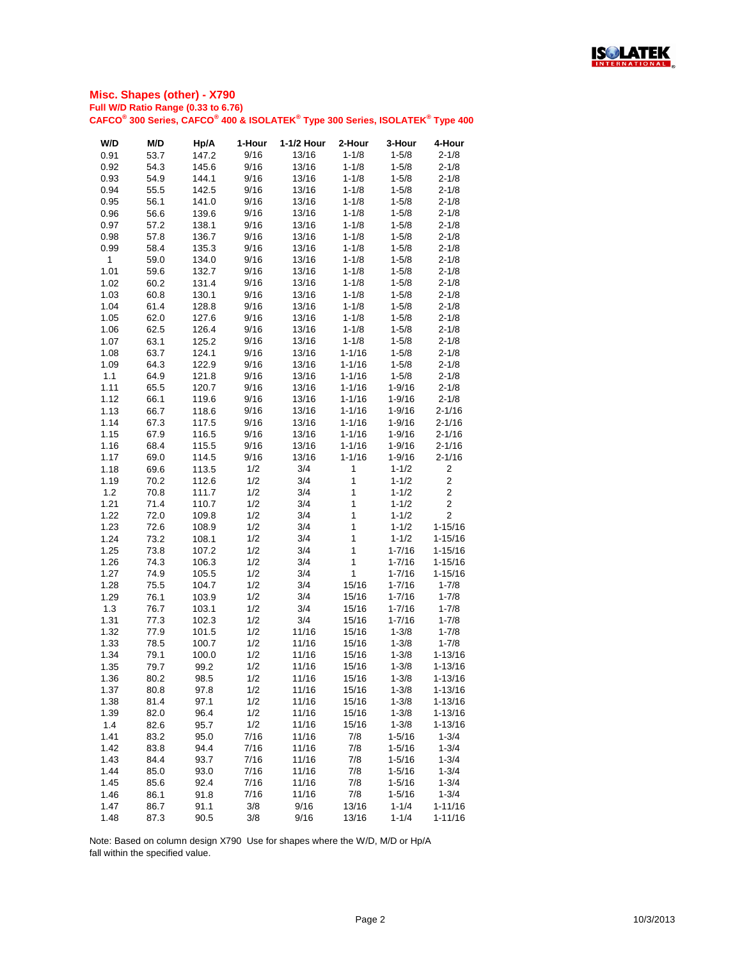

| W/D  | M/D  | Hp/A  | 1-Hour | 1-1/2 Hour | 2-Hour       | 3-Hour     | 4-Hour         |
|------|------|-------|--------|------------|--------------|------------|----------------|
| 0.91 | 53.7 | 147.2 | 9/16   | 13/16      | $1 - 1/8$    | $1 - 5/8$  | $2 - 1/8$      |
| 0.92 | 54.3 | 145.6 | 9/16   | 13/16      | $1 - 1/8$    | $1 - 5/8$  | $2 - 1/8$      |
| 0.93 | 54.9 | 144.1 | 9/16   | 13/16      | $1 - 1/8$    | $1 - 5/8$  | $2 - 1/8$      |
| 0.94 | 55.5 | 142.5 | 9/16   | 13/16      | $1 - 1/8$    | $1 - 5/8$  | $2 - 1/8$      |
| 0.95 | 56.1 | 141.0 | 9/16   | 13/16      | $1 - 1/8$    | $1 - 5/8$  | $2 - 1/8$      |
|      |      |       |        |            |              |            |                |
| 0.96 | 56.6 | 139.6 | 9/16   | 13/16      | $1 - 1/8$    | $1 - 5/8$  | $2 - 1/8$      |
| 0.97 | 57.2 | 138.1 | 9/16   | 13/16      | $1 - 1/8$    | $1 - 5/8$  | $2 - 1/8$      |
| 0.98 | 57.8 | 136.7 | 9/16   | 13/16      | $1 - 1/8$    | $1 - 5/8$  | $2 - 1/8$      |
| 0.99 | 58.4 | 135.3 | 9/16   | 13/16      | $1 - 1/8$    | $1 - 5/8$  | $2 - 1/8$      |
| 1    | 59.0 | 134.0 | 9/16   | 13/16      | $1 - 1/8$    | $1 - 5/8$  | $2 - 1/8$      |
| 1.01 | 59.6 | 132.7 | 9/16   | 13/16      | $1 - 1/8$    | $1 - 5/8$  | $2 - 1/8$      |
| 1.02 | 60.2 | 131.4 | 9/16   | 13/16      | $1 - 1/8$    | $1 - 5/8$  | $2 - 1/8$      |
| 1.03 | 60.8 | 130.1 | 9/16   | 13/16      | $1 - 1/8$    | $1 - 5/8$  | $2 - 1/8$      |
| 1.04 | 61.4 | 128.8 | 9/16   | 13/16      | $1 - 1/8$    | $1 - 5/8$  | $2 - 1/8$      |
| 1.05 | 62.0 | 127.6 | 9/16   | 13/16      | $1 - 1/8$    | $1 - 5/8$  | $2 - 1/8$      |
| 1.06 | 62.5 | 126.4 | 9/16   | 13/16      | $1 - 1/8$    | $1 - 5/8$  | $2 - 1/8$      |
| 1.07 | 63.1 | 125.2 | 9/16   | 13/16      | $1 - 1/8$    | $1 - 5/8$  | $2 - 1/8$      |
| 1.08 | 63.7 | 124.1 | 9/16   | 13/16      | $1 - 1/16$   | $1 - 5/8$  | $2 - 1/8$      |
| 1.09 | 64.3 | 122.9 | 9/16   | 13/16      | $1 - 1/16$   | $1 - 5/8$  | $2 - 1/8$      |
| 1.1  | 64.9 | 121.8 | 9/16   | 13/16      | $1 - 1/16$   | $1 - 5/8$  | $2 - 1/8$      |
| 1.11 | 65.5 | 120.7 | 9/16   | 13/16      | $1 - 1/16$   | $1 - 9/16$ | $2 - 1/8$      |
| 1.12 | 66.1 | 119.6 | 9/16   | 13/16      | $1 - 1/16$   | $1 - 9/16$ | $2 - 1/8$      |
| 1.13 | 66.7 | 118.6 | 9/16   | 13/16      | $1 - 1/16$   | $1 - 9/16$ | $2 - 1/16$     |
| 1.14 | 67.3 | 117.5 | 9/16   | 13/16      | $1 - 1/16$   | $1 - 9/16$ | $2 - 1/16$     |
| 1.15 | 67.9 | 116.5 | 9/16   | 13/16      | $1 - 1/16$   | $1 - 9/16$ | $2 - 1/16$     |
| 1.16 | 68.4 | 115.5 | 9/16   | 13/16      | $1 - 1/16$   | $1 - 9/16$ | $2 - 1/16$     |
| 1.17 | 69.0 | 114.5 | 9/16   | 13/16      | $1 - 1/16$   | $1 - 9/16$ | $2 - 1/16$     |
| 1.18 | 69.6 | 113.5 | 1/2    | 3/4        | $\mathbf 1$  | $1 - 1/2$  | $\overline{2}$ |
|      |      |       |        | 3/4        | $\mathbf 1$  |            | $\overline{c}$ |
| 1.19 | 70.2 | 112.6 | 1/2    |            |              | $1 - 1/2$  | $\overline{2}$ |
| 1.2  | 70.8 | 111.7 | 1/2    | 3/4        | $\mathbf 1$  | $1 - 1/2$  |                |
| 1.21 | 71.4 | 110.7 | 1/2    | 3/4        | $\mathbf 1$  | $1 - 1/2$  | $\overline{2}$ |
| 1.22 | 72.0 | 109.8 | 1/2    | 3/4        | $\mathbf{1}$ | $1 - 1/2$  | $\overline{2}$ |
| 1.23 | 72.6 | 108.9 | 1/2    | 3/4        | $\mathbf 1$  | $1 - 1/2$  | $1 - 15/16$    |
| 1.24 | 73.2 | 108.1 | 1/2    | 3/4        | $\mathbf 1$  | $1 - 1/2$  | $1 - 15/16$    |
| 1.25 | 73.8 | 107.2 | 1/2    | 3/4        | $\mathbf 1$  | $1 - 7/16$ | $1 - 15/16$    |
| 1.26 | 74.3 | 106.3 | 1/2    | 3/4        | $\mathbf 1$  | $1 - 7/16$ | $1 - 15/16$    |
| 1.27 | 74.9 | 105.5 | 1/2    | 3/4        | $\mathbf 1$  | $1 - 7/16$ | $1 - 15/16$    |
| 1.28 | 75.5 | 104.7 | 1/2    | 3/4        | 15/16        | $1 - 7/16$ | $1 - 7/8$      |
| 1.29 | 76.1 | 103.9 | 1/2    | 3/4        | 15/16        | $1 - 7/16$ | $1 - 7/8$      |
| 1.3  | 76.7 | 103.1 | 1/2    | 3/4        | 15/16        | $1 - 7/16$ | $1 - 7/8$      |
| 1.31 | 77.3 | 102.3 | 1/2    | 3/4        | 15/16        | $1 - 7/16$ | $1 - 7/8$      |
| 1.32 | 77.9 | 101.5 | 1/2    | 11/16      | 15/16        | $1 - 3/8$  | $1 - 7/8$      |
| 1.33 | 78.5 | 100.7 | 1/2    | 11/16      | 15/16        | $1 - 3/8$  | $1 - 7/8$      |
| 1.34 | 79.1 | 100.0 | 1/2    | 11/16      | 15/16        | $1 - 3/8$  | $1 - 13/16$    |
| 1.35 | 79.7 | 99.2  | 1/2    | 11/16      | 15/16        | $1 - 3/8$  | $1 - 13/16$    |
| 1.36 | 80.2 | 98.5  | 1/2    | 11/16      | 15/16        | $1 - 3/8$  | $1 - 13/16$    |
| 1.37 | 80.8 | 97.8  | 1/2    | 11/16      | 15/16        | $1 - 3/8$  | $1 - 13/16$    |
| 1.38 | 81.4 | 97.1  | 1/2    | 11/16      | 15/16        | $1 - 3/8$  | $1 - 13/16$    |
| 1.39 | 82.0 | 96.4  | 1/2    | 11/16      | 15/16        | $1 - 3/8$  | $1 - 13/16$    |
| 1.4  | 82.6 | 95.7  | 1/2    | 11/16      | 15/16        | $1 - 3/8$  | $1 - 13/16$    |
| 1.41 | 83.2 | 95.0  | 7/16   | 11/16      | 7/8          | $1 - 5/16$ | $1 - 3/4$      |
| 1.42 | 83.8 | 94.4  | 7/16   | 11/16      | 7/8          | $1 - 5/16$ | $1 - 3/4$      |
| 1.43 | 84.4 | 93.7  | 7/16   | 11/16      | 7/8          | $1 - 5/16$ | $1 - 3/4$      |
| 1.44 | 85.0 | 93.0  | 7/16   | 11/16      | 7/8          | $1 - 5/16$ | $1 - 3/4$      |
|      |      |       |        |            |              |            |                |
| 1.45 | 85.6 | 92.4  | 7/16   | 11/16      | 7/8          | $1 - 5/16$ | $1 - 3/4$      |
| 1.46 | 86.1 | 91.8  | 7/16   | 11/16      | 7/8          | $1 - 5/16$ | $1 - 3/4$      |
| 1.47 | 86.7 | 91.1  | 3/8    | 9/16       | 13/16        | $1 - 1/4$  | $1 - 11/16$    |
| 1.48 | 87.3 | 90.5  | 3/8    | 9/16       | 13/16        | $1 - 1/4$  | $1 - 11/16$    |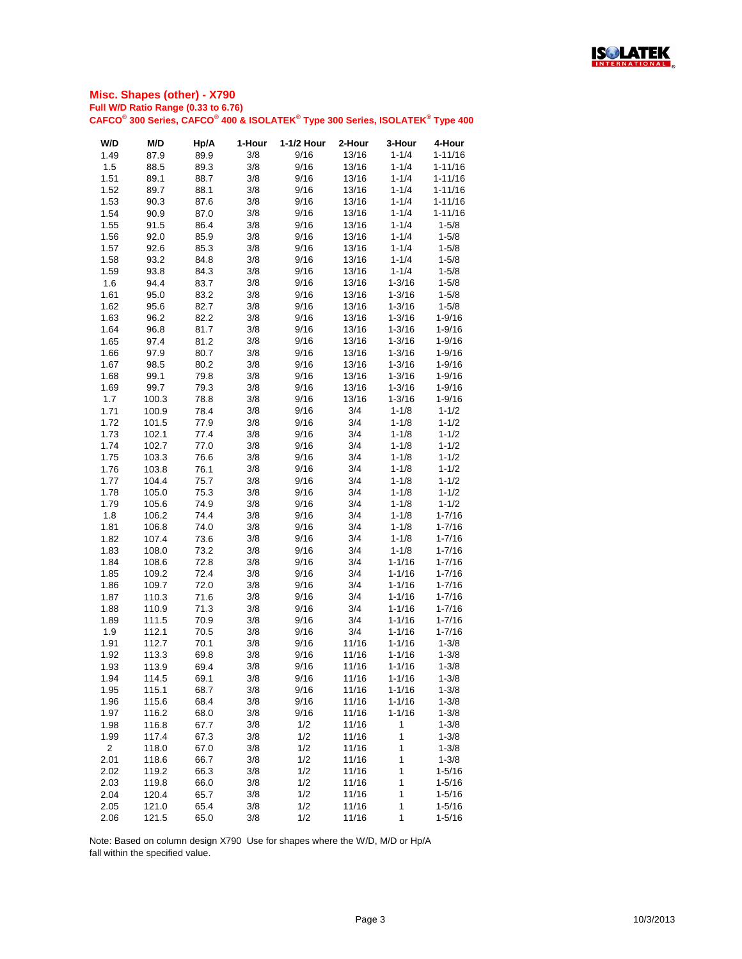

| W/D            | M/D   | Hp/A | 1-Hour | 1-1/2 Hour | 2-Hour | 3-Hour     | 4-Hour      |
|----------------|-------|------|--------|------------|--------|------------|-------------|
| 1.49           | 87.9  | 89.9 | 3/8    | 9/16       | 13/16  | $1 - 1/4$  | $1 - 11/16$ |
| 1.5            | 88.5  | 89.3 | 3/8    | 9/16       | 13/16  | $1 - 1/4$  | $1 - 11/16$ |
| 1.51           | 89.1  | 88.7 | 3/8    | 9/16       | 13/16  | $1 - 1/4$  | $1 - 11/16$ |
| 1.52           | 89.7  | 88.1 | 3/8    | 9/16       | 13/16  | $1 - 1/4$  | $1 - 11/16$ |
| 1.53           | 90.3  | 87.6 | 3/8    | 9/16       | 13/16  | $1 - 1/4$  | $1 - 11/16$ |
| 1.54           | 90.9  | 87.0 | 3/8    | 9/16       | 13/16  | $1 - 1/4$  | $1 - 11/16$ |
| 1.55           | 91.5  | 86.4 | 3/8    | 9/16       | 13/16  | $1 - 1/4$  | $1 - 5/8$   |
| 1.56           | 92.0  | 85.9 | 3/8    | 9/16       | 13/16  | $1 - 1/4$  | $1 - 5/8$   |
| 1.57           | 92.6  | 85.3 | 3/8    | 9/16       | 13/16  | $1 - 1/4$  | $1 - 5/8$   |
| 1.58           | 93.2  | 84.8 | 3/8    | 9/16       | 13/16  | $1 - 1/4$  | $1 - 5/8$   |
| 1.59           | 93.8  | 84.3 | 3/8    | 9/16       | 13/16  | $1 - 1/4$  | $1 - 5/8$   |
| 1.6            | 94.4  | 83.7 | 3/8    | 9/16       | 13/16  | $1 - 3/16$ | $1 - 5/8$   |
| 1.61           | 95.0  | 83.2 | 3/8    | 9/16       | 13/16  | $1 - 3/16$ | $1 - 5/8$   |
| 1.62           | 95.6  | 82.7 | 3/8    | 9/16       | 13/16  | $1 - 3/16$ | $1 - 5/8$   |
| 1.63           | 96.2  | 82.2 | 3/8    | 9/16       | 13/16  | $1 - 3/16$ | $1 - 9/16$  |
| 1.64           | 96.8  | 81.7 | 3/8    | 9/16       | 13/16  | $1 - 3/16$ | $1 - 9/16$  |
| 1.65           | 97.4  | 81.2 | 3/8    | 9/16       | 13/16  | $1 - 3/16$ | $1 - 9/16$  |
| 1.66           | 97.9  | 80.7 | 3/8    | 9/16       | 13/16  | $1 - 3/16$ | $1 - 9/16$  |
| 1.67           | 98.5  | 80.2 | 3/8    | 9/16       | 13/16  | $1 - 3/16$ | $1 - 9/16$  |
| 1.68           | 99.1  | 79.8 | 3/8    | 9/16       | 13/16  | $1 - 3/16$ | $1 - 9/16$  |
| 1.69           | 99.7  | 79.3 | 3/8    | 9/16       | 13/16  | $1 - 3/16$ | $1 - 9/16$  |
| 1.7            | 100.3 | 78.8 | 3/8    | 9/16       | 13/16  | $1 - 3/16$ | $1 - 9/16$  |
| 1.71           | 100.9 | 78.4 | 3/8    | 9/16       | 3/4    | $1 - 1/8$  | $1 - 1/2$   |
| 1.72           | 101.5 | 77.9 | 3/8    | 9/16       | 3/4    | $1 - 1/8$  | $1 - 1/2$   |
| 1.73           | 102.1 | 77.4 | 3/8    | 9/16       | 3/4    | $1 - 1/8$  | $1 - 1/2$   |
| 1.74           | 102.7 | 77.0 | 3/8    | 9/16       | 3/4    | $1 - 1/8$  | $1 - 1/2$   |
| 1.75           | 103.3 | 76.6 | 3/8    | 9/16       | 3/4    | $1 - 1/8$  | $1 - 1/2$   |
| 1.76           | 103.8 | 76.1 | 3/8    | 9/16       | 3/4    | $1 - 1/8$  | $1 - 1/2$   |
| 1.77           | 104.4 | 75.7 | 3/8    | 9/16       | 3/4    | $1 - 1/8$  | $1 - 1/2$   |
| 1.78           | 105.0 | 75.3 | 3/8    | 9/16       | 3/4    | $1 - 1/8$  | $1 - 1/2$   |
| 1.79           | 105.6 | 74.9 | 3/8    | 9/16       | 3/4    | $1 - 1/8$  | $1 - 1/2$   |
| 1.8            | 106.2 | 74.4 | 3/8    | 9/16       | 3/4    | $1 - 1/8$  | $1 - 7/16$  |
| 1.81           | 106.8 | 74.0 | 3/8    | 9/16       | 3/4    | $1 - 1/8$  | $1 - 7/16$  |
| 1.82           | 107.4 | 73.6 | 3/8    | 9/16       | 3/4    | $1 - 1/8$  | $1 - 7/16$  |
| 1.83           | 108.0 | 73.2 | 3/8    | 9/16       | 3/4    | $1 - 1/8$  | $1 - 7/16$  |
| 1.84           | 108.6 | 72.8 | 3/8    | 9/16       | 3/4    | $1 - 1/16$ | $1 - 7/16$  |
| 1.85           | 109.2 | 72.4 | 3/8    | 9/16       | 3/4    | $1 - 1/16$ | $1 - 7/16$  |
| 1.86           | 109.7 | 72.0 | 3/8    | 9/16       | 3/4    | $1 - 1/16$ | $1 - 7/16$  |
| 1.87           | 110.3 | 71.6 | 3/8    | 9/16       | 3/4    | $1 - 1/16$ | $1 - 7/16$  |
| 1.88           | 110.9 | 71.3 | 3/8    | 9/16       | 3/4    | $1 - 1/16$ | $1 - 7/16$  |
| 1.89           | 111.5 | 70.9 | 3/8    | 9/16       | 3/4    | $1 - 1/16$ | $1 - 7/16$  |
| 1.9            | 112.1 | 70.5 | 3/8    | 9/16       | 3/4    | $1 - 1/16$ | $1 - 7/16$  |
| 1.91           | 112.7 | 70.1 | 3/8    | 9/16       | 11/16  | $1 - 1/16$ | $1 - 3/8$   |
| 1.92           | 113.3 | 69.8 | 3/8    | 9/16       | 11/16  | $1 - 1/16$ | $1 - 3/8$   |
| 1.93           | 113.9 | 69.4 | 3/8    | 9/16       | 11/16  | $1 - 1/16$ | $1 - 3/8$   |
| 1.94           | 114.5 | 69.1 | 3/8    | 9/16       | 11/16  | $1 - 1/16$ | $1 - 3/8$   |
| 1.95           | 115.1 | 68.7 | 3/8    | 9/16       | 11/16  | $1 - 1/16$ | $1 - 3/8$   |
| 1.96           | 115.6 | 68.4 | 3/8    | 9/16       | 11/16  | $1 - 1/16$ | $1 - 3/8$   |
| 1.97           | 116.2 | 68.0 | 3/8    | 9/16       | 11/16  | $1 - 1/16$ | $1 - 3/8$   |
| 1.98           | 116.8 | 67.7 | 3/8    | 1/2        | 11/16  | 1          | $1 - 3/8$   |
| 1.99           | 117.4 | 67.3 | 3/8    | 1/2        | 11/16  | 1          | $1 - 3/8$   |
| $\overline{2}$ | 118.0 | 67.0 | 3/8    | 1/2        | 11/16  | 1          | $1 - 3/8$   |
| 2.01           | 118.6 | 66.7 | 3/8    | 1/2        | 11/16  | 1          | $1 - 3/8$   |
| 2.02           | 119.2 | 66.3 | 3/8    | 1/2        | 11/16  | 1          | $1 - 5/16$  |
| 2.03           | 119.8 | 66.0 | 3/8    | 1/2        | 11/16  | 1          | $1 - 5/16$  |
| 2.04           | 120.4 | 65.7 | 3/8    | 1/2        | 11/16  | 1          | $1 - 5/16$  |
| 2.05           | 121.0 | 65.4 | 3/8    | 1/2        | 11/16  | 1          | $1 - 5/16$  |
| 2.06           | 121.5 | 65.0 | 3/8    | 1/2        | 11/16  | 1          | $1 - 5/16$  |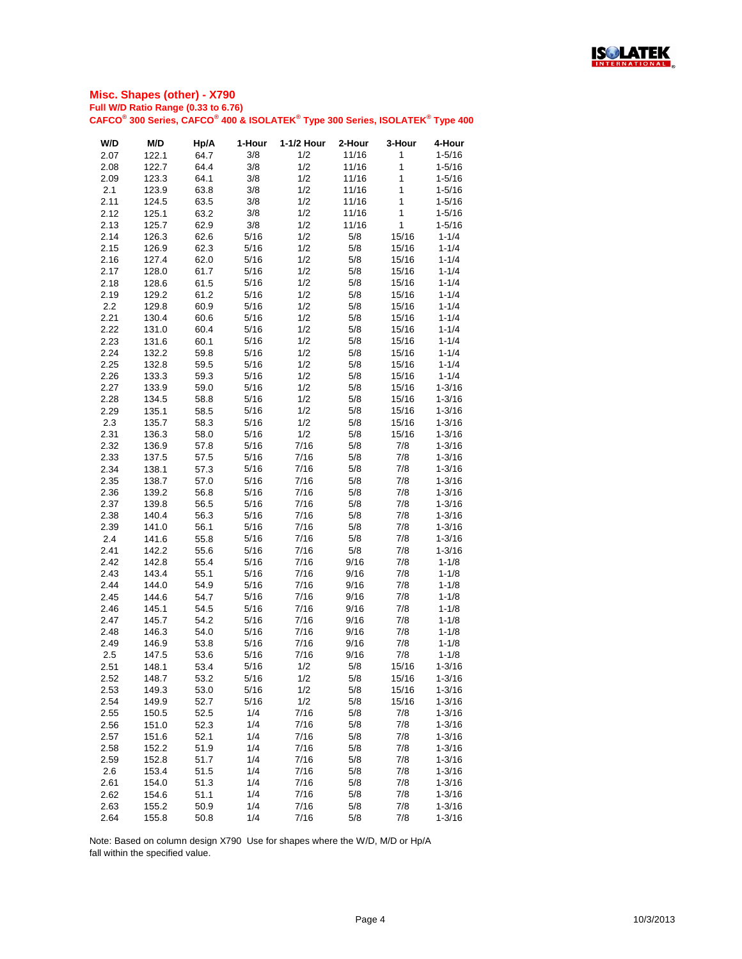

| W/D  | M/D   | Hp/A | 1-Hour | 1-1/2 Hour | 2-Hour | 3-Hour       | 4-Hour     |
|------|-------|------|--------|------------|--------|--------------|------------|
| 2.07 | 122.1 | 64.7 | 3/8    | 1/2        | 11/16  | 1            | $1 - 5/16$ |
| 2.08 | 122.7 | 64.4 | 3/8    | 1/2        | 11/16  | 1            | $1 - 5/16$ |
| 2.09 | 123.3 | 64.1 | 3/8    | 1/2        | 11/16  | $\mathbf 1$  | $1 - 5/16$ |
| 2.1  | 123.9 | 63.8 | 3/8    | 1/2        | 11/16  | $\mathbf{1}$ | $1 - 5/16$ |
| 2.11 | 124.5 | 63.5 | 3/8    | 1/2        | 11/16  | $\mathbf{1}$ | $1 - 5/16$ |
| 2.12 | 125.1 | 63.2 | 3/8    | 1/2        | 11/16  | 1            | $1 - 5/16$ |
| 2.13 | 125.7 | 62.9 | 3/8    | 1/2        | 11/16  | $\mathbf 1$  | $1 - 5/16$ |
| 2.14 | 126.3 | 62.6 | 5/16   | 1/2        | 5/8    | 15/16        | $1 - 1/4$  |
| 2.15 | 126.9 | 62.3 | 5/16   | 1/2        | 5/8    | 15/16        | $1 - 1/4$  |
| 2.16 | 127.4 | 62.0 | 5/16   | 1/2        | 5/8    | 15/16        | $1 - 1/4$  |
| 2.17 | 128.0 | 61.7 | 5/16   | 1/2        | 5/8    | 15/16        | $1 - 1/4$  |
| 2.18 | 128.6 | 61.5 | 5/16   | 1/2        | 5/8    | 15/16        | $1 - 1/4$  |
| 2.19 | 129.2 | 61.2 | 5/16   | 1/2        | 5/8    | 15/16        | $1 - 1/4$  |
| 2.2  | 129.8 | 60.9 | 5/16   | 1/2        | 5/8    | 15/16        | $1 - 1/4$  |
| 2.21 | 130.4 | 60.6 | 5/16   | 1/2        | 5/8    | 15/16        | $1 - 1/4$  |
| 2.22 | 131.0 | 60.4 | 5/16   | 1/2        | 5/8    | 15/16        | $1 - 1/4$  |
| 2.23 | 131.6 | 60.1 | 5/16   | 1/2        | 5/8    | 15/16        | $1 - 1/4$  |
| 2.24 | 132.2 | 59.8 | 5/16   | 1/2        | 5/8    | 15/16        | $1 - 1/4$  |
| 2.25 | 132.8 | 59.5 | 5/16   | 1/2        | 5/8    | 15/16        | $1 - 1/4$  |
| 2.26 | 133.3 | 59.3 | 5/16   | 1/2        | 5/8    | 15/16        | $1 - 1/4$  |
| 2.27 | 133.9 | 59.0 | 5/16   | 1/2        | 5/8    | 15/16        | $1 - 3/16$ |
| 2.28 | 134.5 | 58.8 | 5/16   | 1/2        | 5/8    | 15/16        | $1 - 3/16$ |
| 2.29 | 135.1 | 58.5 | 5/16   | 1/2        | 5/8    | 15/16        | $1 - 3/16$ |
| 2.3  | 135.7 | 58.3 | 5/16   | 1/2        | 5/8    | 15/16        | $1 - 3/16$ |
| 2.31 | 136.3 | 58.0 | 5/16   | 1/2        | 5/8    | 15/16        | $1 - 3/16$ |
| 2.32 | 136.9 |      | 5/16   | 7/16       | 5/8    | 7/8          |            |
|      |       | 57.8 |        |            |        |              | $1 - 3/16$ |
| 2.33 | 137.5 | 57.5 | 5/16   | 7/16       | 5/8    | 7/8          | $1 - 3/16$ |
| 2.34 | 138.1 | 57.3 | 5/16   | 7/16       | 5/8    | 7/8          | $1 - 3/16$ |
| 2.35 | 138.7 | 57.0 | 5/16   | 7/16       | 5/8    | 7/8          | $1 - 3/16$ |
| 2.36 | 139.2 | 56.8 | 5/16   | 7/16       | 5/8    | 7/8          | $1 - 3/16$ |
| 2.37 | 139.8 | 56.5 | 5/16   | 7/16       | 5/8    | 7/8          | $1 - 3/16$ |
| 2.38 | 140.4 | 56.3 | 5/16   | 7/16       | 5/8    | 7/8          | $1 - 3/16$ |
| 2.39 | 141.0 | 56.1 | 5/16   | 7/16       | 5/8    | 7/8          | $1 - 3/16$ |
| 2.4  | 141.6 | 55.8 | 5/16   | 7/16       | 5/8    | 7/8          | $1 - 3/16$ |
| 2.41 | 142.2 | 55.6 | 5/16   | 7/16       | 5/8    | 7/8          | $1 - 3/16$ |
| 2.42 | 142.8 | 55.4 | 5/16   | 7/16       | 9/16   | 7/8          | $1 - 1/8$  |
| 2.43 | 143.4 | 55.1 | 5/16   | 7/16       | 9/16   | 7/8          | $1 - 1/8$  |
| 2.44 | 144.0 | 54.9 | 5/16   | 7/16       | 9/16   | 7/8          | $1 - 1/8$  |
| 2.45 | 144.6 | 54.7 | 5/16   | 7/16       | 9/16   | 7/8          | $1 - 1/8$  |
| 2.46 | 145.1 | 54.5 | 5/16   | 7/16       | 9/16   | 7/8          | $1 - 1/8$  |
| 2.47 | 145.7 | 54.2 | 5/16   | 7/16       | 9/16   | 7/8          | $1 - 1/8$  |
| 2.48 | 146.3 | 54.0 | 5/16   | 7/16       | 9/16   | 7/8          | $1 - 1/8$  |
| 2.49 | 146.9 | 53.8 | 5/16   | 7/16       | 9/16   | 7/8          | $1 - 1/8$  |
| 2.5  | 147.5 | 53.6 | 5/16   | 7/16       | 9/16   | 7/8          | $1 - 1/8$  |
| 2.51 | 148.1 | 53.4 | 5/16   | 1/2        | 5/8    | 15/16        | $1 - 3/16$ |
| 2.52 | 148.7 | 53.2 | 5/16   | 1/2        | 5/8    | 15/16        | $1 - 3/16$ |
| 2.53 | 149.3 | 53.0 | 5/16   | 1/2        | 5/8    | 15/16        | $1 - 3/16$ |
| 2.54 | 149.9 | 52.7 | 5/16   | 1/2        | 5/8    | 15/16        | $1 - 3/16$ |
| 2.55 | 150.5 | 52.5 | 1/4    | 7/16       | 5/8    | 7/8          | $1 - 3/16$ |
| 2.56 | 151.0 | 52.3 | 1/4    | 7/16       | 5/8    | 7/8          | $1 - 3/16$ |
| 2.57 | 151.6 | 52.1 | 1/4    | 7/16       | 5/8    | 7/8          | $1 - 3/16$ |
| 2.58 | 152.2 | 51.9 | 1/4    | 7/16       | 5/8    | 7/8          | $1 - 3/16$ |
| 2.59 | 152.8 | 51.7 | 1/4    | 7/16       | 5/8    | 7/8          | $1 - 3/16$ |
| 2.6  | 153.4 | 51.5 | 1/4    | 7/16       | 5/8    | 7/8          | $1 - 3/16$ |
| 2.61 | 154.0 | 51.3 | 1/4    | 7/16       | 5/8    | 7/8          | $1 - 3/16$ |
| 2.62 | 154.6 | 51.1 | 1/4    | 7/16       | 5/8    | 7/8          | $1 - 3/16$ |
| 2.63 | 155.2 | 50.9 | 1/4    | 7/16       | 5/8    | 7/8          | $1 - 3/16$ |
| 2.64 | 155.8 | 50.8 | 1/4    | 7/16       | 5/8    | 7/8          | $1 - 3/16$ |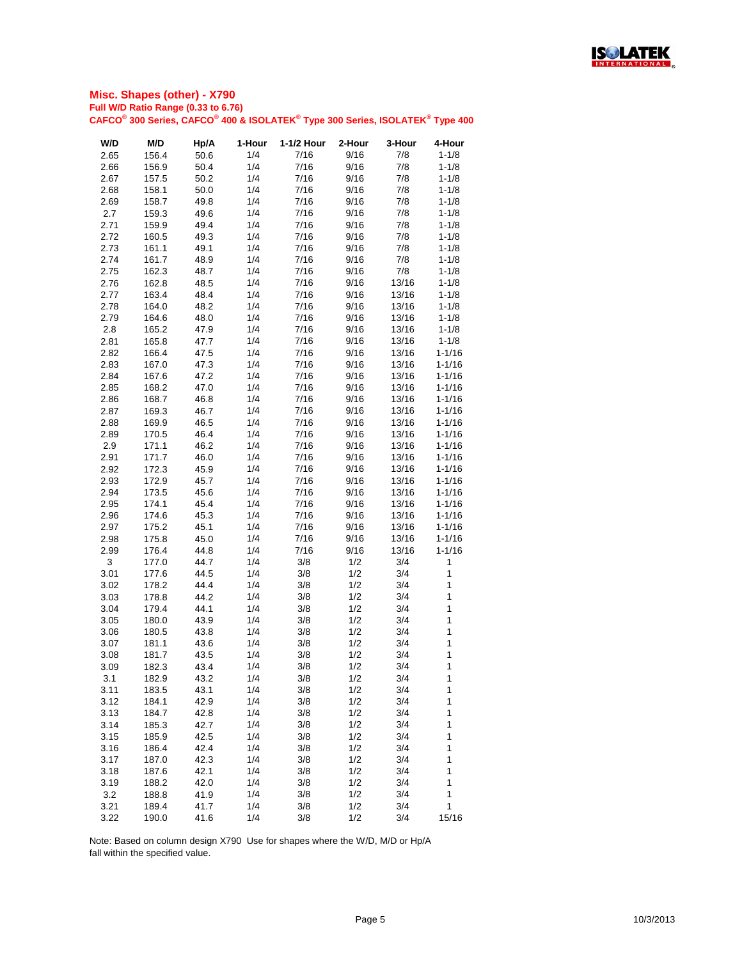

| W/D  | M/D   | Hp/A | 1-Hour | 1-1/2 Hour | 2-Hour | 3-Hour | 4-Hour     |
|------|-------|------|--------|------------|--------|--------|------------|
| 2.65 | 156.4 | 50.6 | 1/4    | 7/16       | 9/16   | 7/8    | $1 - 1/8$  |
| 2.66 | 156.9 | 50.4 | 1/4    | 7/16       | 9/16   | 7/8    | $1 - 1/8$  |
| 2.67 | 157.5 | 50.2 | 1/4    | 7/16       | 9/16   | 7/8    | $1 - 1/8$  |
| 2.68 | 158.1 | 50.0 | 1/4    | 7/16       | 9/16   | 7/8    | $1 - 1/8$  |
| 2.69 | 158.7 | 49.8 | 1/4    | 7/16       | 9/16   | 7/8    | $1 - 1/8$  |
| 2.7  | 159.3 | 49.6 | 1/4    | 7/16       | 9/16   | 7/8    | $1 - 1/8$  |
| 2.71 | 159.9 | 49.4 | 1/4    | 7/16       | 9/16   | 7/8    | $1 - 1/8$  |
| 2.72 | 160.5 | 49.3 | 1/4    | 7/16       | 9/16   | 7/8    | $1 - 1/8$  |
| 2.73 | 161.1 | 49.1 | 1/4    | 7/16       | 9/16   | 7/8    | $1 - 1/8$  |
| 2.74 | 161.7 | 48.9 | 1/4    | 7/16       | 9/16   | 7/8    | $1 - 1/8$  |
| 2.75 | 162.3 | 48.7 | 1/4    | 7/16       | 9/16   | 7/8    | $1 - 1/8$  |
| 2.76 | 162.8 | 48.5 | 1/4    | 7/16       | 9/16   | 13/16  | $1 - 1/8$  |
| 2.77 | 163.4 | 48.4 | 1/4    | 7/16       | 9/16   | 13/16  | $1 - 1/8$  |
| 2.78 | 164.0 | 48.2 | 1/4    | 7/16       | 9/16   | 13/16  | $1 - 1/8$  |
| 2.79 | 164.6 | 48.0 | 1/4    | 7/16       | 9/16   | 13/16  | $1 - 1/8$  |
| 2.8  | 165.2 | 47.9 | 1/4    | 7/16       | 9/16   | 13/16  | $1 - 1/8$  |
| 2.81 | 165.8 | 47.7 | 1/4    | 7/16       | 9/16   | 13/16  | $1 - 1/8$  |
| 2.82 | 166.4 | 47.5 | 1/4    | 7/16       | 9/16   | 13/16  | $1 - 1/16$ |
| 2.83 | 167.0 | 47.3 | 1/4    | 7/16       | 9/16   | 13/16  | $1 - 1/16$ |
| 2.84 | 167.6 | 47.2 | 1/4    | 7/16       | 9/16   | 13/16  | $1 - 1/16$ |
| 2.85 | 168.2 | 47.0 | 1/4    | 7/16       | 9/16   | 13/16  | $1 - 1/16$ |
| 2.86 | 168.7 | 46.8 | 1/4    | 7/16       | 9/16   | 13/16  | $1 - 1/16$ |
| 2.87 | 169.3 | 46.7 | 1/4    | 7/16       | 9/16   | 13/16  | $1 - 1/16$ |
| 2.88 | 169.9 | 46.5 | 1/4    | 7/16       | 9/16   | 13/16  | $1 - 1/16$ |
| 2.89 | 170.5 | 46.4 | 1/4    | 7/16       | 9/16   | 13/16  | $1 - 1/16$ |
| 2.9  | 171.1 | 46.2 | 1/4    | 7/16       | 9/16   | 13/16  | $1 - 1/16$ |
| 2.91 | 171.7 | 46.0 | 1/4    | 7/16       | 9/16   | 13/16  | $1 - 1/16$ |
| 2.92 | 172.3 | 45.9 | 1/4    | 7/16       | 9/16   | 13/16  | $1 - 1/16$ |
| 2.93 | 172.9 | 45.7 | 1/4    | 7/16       | 9/16   | 13/16  | $1 - 1/16$ |
| 2.94 | 173.5 | 45.6 | 1/4    | 7/16       | 9/16   | 13/16  | $1 - 1/16$ |
| 2.95 | 174.1 | 45.4 | 1/4    | 7/16       | 9/16   | 13/16  | $1 - 1/16$ |
| 2.96 | 174.6 | 45.3 | 1/4    | 7/16       | 9/16   | 13/16  | $1 - 1/16$ |
| 2.97 | 175.2 | 45.1 | 1/4    | 7/16       | 9/16   | 13/16  | $1 - 1/16$ |
| 2.98 | 175.8 | 45.0 | 1/4    | 7/16       | 9/16   | 13/16  | $1 - 1/16$ |
| 2.99 | 176.4 | 44.8 | 1/4    | 7/16       | 9/16   | 13/16  | $1 - 1/16$ |
| 3    | 177.0 | 44.7 | 1/4    | 3/8        | 1/2    | 3/4    | 1          |
| 3.01 | 177.6 | 44.5 | 1/4    | 3/8        | 1/2    | 3/4    | 1          |
| 3.02 | 178.2 | 44.4 | 1/4    | 3/8        | 1/2    | 3/4    | 1          |
| 3.03 | 178.8 | 44.2 | 1/4    | 3/8        | 1/2    | 3/4    | 1          |
| 3.04 | 179.4 | 44.1 | 1/4    | 3/8        | 1/2    | 3/4    | 1          |
| 3.05 | 180.0 | 43.9 | 1/4    | 3/8        | 1/2    | 3/4    | 1          |
| 3.06 | 180.5 | 43.8 | 1/4    | 3/8        | 1/2    | 3/4    | 1          |
| 3.07 | 181.1 | 43.6 | 1/4    | 3/8        | 1/2    | 3/4    | 1          |
| 3.08 | 181.7 | 43.5 | 1/4    | 3/8        | 1/2    | 3/4    | 1          |
| 3.09 | 182.3 | 43.4 | 1/4    | 3/8        | 1/2    | 3/4    | 1          |
| 3.1  | 182.9 | 43.2 | 1/4    | 3/8        | 1/2    | 3/4    | 1          |
| 3.11 | 183.5 | 43.1 | 1/4    | 3/8        | 1/2    | 3/4    | 1          |
| 3.12 | 184.1 | 42.9 | 1/4    | 3/8        | 1/2    | 3/4    | 1          |
| 3.13 | 184.7 | 42.8 | 1/4    | 3/8        | 1/2    | 3/4    | 1          |
| 3.14 | 185.3 | 42.7 | 1/4    | 3/8        | 1/2    | 3/4    | 1          |
| 3.15 | 185.9 | 42.5 | 1/4    | 3/8        | 1/2    | 3/4    | 1          |
| 3.16 | 186.4 | 42.4 | 1/4    | 3/8        | 1/2    | 3/4    | 1          |
| 3.17 | 187.0 | 42.3 | 1/4    | 3/8        | 1/2    | 3/4    | 1          |
| 3.18 | 187.6 | 42.1 | 1/4    | 3/8        | 1/2    | 3/4    | 1          |
| 3.19 | 188.2 | 42.0 | 1/4    | 3/8        | 1/2    | 3/4    | 1          |
| 3.2  | 188.8 | 41.9 | 1/4    | 3/8        | 1/2    | 3/4    | 1          |
| 3.21 | 189.4 | 41.7 | 1/4    | 3/8        | 1/2    | 3/4    | 1          |
| 3.22 | 190.0 | 41.6 | 1/4    | 3/8        | 1/2    | 3/4    | 15/16      |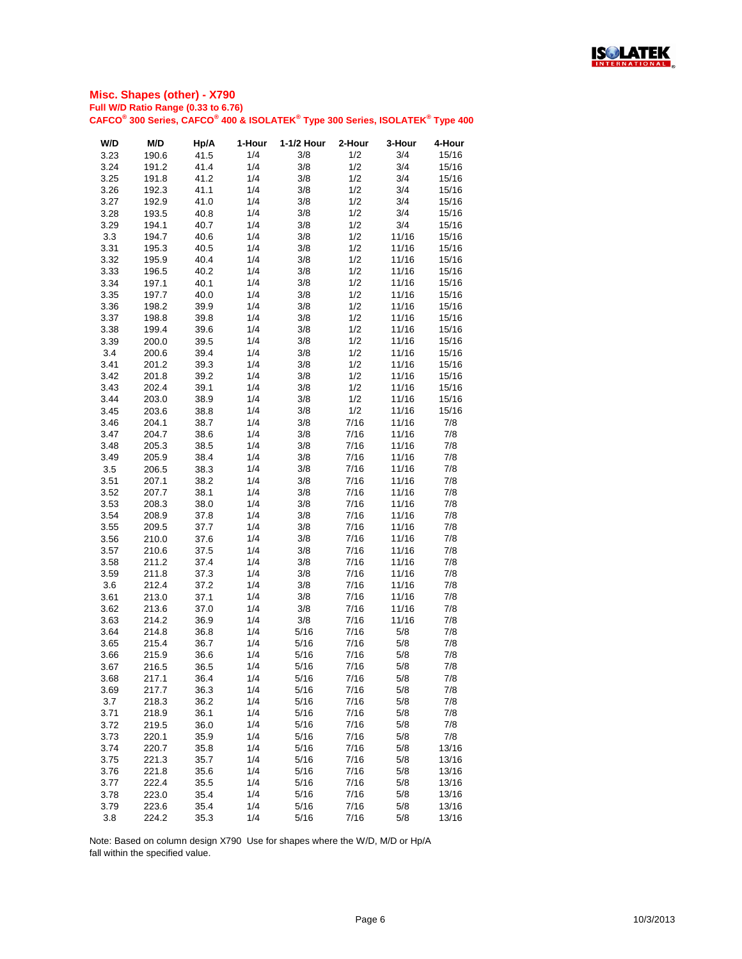

| W/D  | M/D   | Hp/A | 1-Hour | 1-1/2 Hour | 2-Hour | 3-Hour | 4-Hour |
|------|-------|------|--------|------------|--------|--------|--------|
| 3.23 | 190.6 | 41.5 | 1/4    | 3/8        | 1/2    | 3/4    | 15/16  |
| 3.24 | 191.2 | 41.4 | 1/4    | 3/8        | 1/2    | 3/4    | 15/16  |
| 3.25 | 191.8 | 41.2 | 1/4    | 3/8        | 1/2    | 3/4    | 15/16  |
| 3.26 | 192.3 | 41.1 | 1/4    | 3/8        | 1/2    | 3/4    | 15/16  |
| 3.27 | 192.9 | 41.0 | 1/4    | 3/8        | 1/2    | 3/4    | 15/16  |
|      |       |      |        |            |        |        |        |
| 3.28 | 193.5 | 40.8 | 1/4    | 3/8        | 1/2    | 3/4    | 15/16  |
| 3.29 | 194.1 | 40.7 | 1/4    | 3/8        | 1/2    | 3/4    | 15/16  |
| 3.3  | 194.7 | 40.6 | 1/4    | 3/8        | 1/2    | 11/16  | 15/16  |
| 3.31 | 195.3 | 40.5 | 1/4    | 3/8        | 1/2    | 11/16  | 15/16  |
| 3.32 | 195.9 | 40.4 | 1/4    | 3/8        | 1/2    | 11/16  | 15/16  |
| 3.33 | 196.5 | 40.2 | 1/4    | 3/8        | 1/2    | 11/16  | 15/16  |
| 3.34 | 197.1 | 40.1 | 1/4    | 3/8        | 1/2    | 11/16  | 15/16  |
| 3.35 | 197.7 | 40.0 | 1/4    | 3/8        | 1/2    | 11/16  | 15/16  |
| 3.36 | 198.2 | 39.9 | 1/4    | 3/8        | 1/2    | 11/16  | 15/16  |
| 3.37 | 198.8 | 39.8 | 1/4    | 3/8        | 1/2    | 11/16  | 15/16  |
| 3.38 | 199.4 | 39.6 | 1/4    | 3/8        | 1/2    | 11/16  | 15/16  |
| 3.39 | 200.0 | 39.5 | 1/4    | 3/8        | 1/2    | 11/16  | 15/16  |
| 3.4  | 200.6 | 39.4 | 1/4    | 3/8        | 1/2    | 11/16  | 15/16  |
| 3.41 | 201.2 | 39.3 | 1/4    | 3/8        | 1/2    | 11/16  | 15/16  |
| 3.42 | 201.8 | 39.2 | 1/4    | 3/8        | 1/2    | 11/16  | 15/16  |
| 3.43 | 202.4 | 39.1 | 1/4    | 3/8        | 1/2    | 11/16  | 15/16  |
| 3.44 | 203.0 | 38.9 | 1/4    | 3/8        | 1/2    | 11/16  | 15/16  |
| 3.45 | 203.6 | 38.8 | 1/4    | 3/8        | 1/2    | 11/16  | 15/16  |
| 3.46 | 204.1 | 38.7 | 1/4    | 3/8        | 7/16   | 11/16  | 7/8    |
| 3.47 | 204.7 | 38.6 | 1/4    | 3/8        | 7/16   | 11/16  | 7/8    |
|      |       |      |        |            |        |        |        |
| 3.48 | 205.3 | 38.5 | 1/4    | 3/8        | 7/16   | 11/16  | 7/8    |
| 3.49 | 205.9 | 38.4 | 1/4    | 3/8        | 7/16   | 11/16  | 7/8    |
| 3.5  | 206.5 | 38.3 | 1/4    | 3/8        | 7/16   | 11/16  | 7/8    |
| 3.51 | 207.1 | 38.2 | 1/4    | 3/8        | 7/16   | 11/16  | 7/8    |
| 3.52 | 207.7 | 38.1 | 1/4    | 3/8        | 7/16   | 11/16  | 7/8    |
| 3.53 | 208.3 | 38.0 | 1/4    | 3/8        | 7/16   | 11/16  | 7/8    |
| 3.54 | 208.9 | 37.8 | 1/4    | 3/8        | 7/16   | 11/16  | 7/8    |
| 3.55 | 209.5 | 37.7 | 1/4    | 3/8        | 7/16   | 11/16  | 7/8    |
| 3.56 | 210.0 | 37.6 | 1/4    | 3/8        | 7/16   | 11/16  | 7/8    |
| 3.57 | 210.6 | 37.5 | 1/4    | 3/8        | 7/16   | 11/16  | 7/8    |
| 3.58 | 211.2 | 37.4 | 1/4    | 3/8        | 7/16   | 11/16  | 7/8    |
| 3.59 | 211.8 | 37.3 | 1/4    | 3/8        | 7/16   | 11/16  | 7/8    |
| 3.6  | 212.4 | 37.2 | 1/4    | 3/8        | 7/16   | 11/16  | 7/8    |
| 3.61 | 213.0 | 37.1 | 1/4    | 3/8        | 7/16   | 11/16  | 7/8    |
| 3.62 | 213.6 | 37.0 | 1/4    | 3/8        | 7/16   | 11/16  | 7/8    |
| 3.63 | 214.2 | 36.9 | 1/4    | 3/8        | 7/16   | 11/16  | 7/8    |
| 3.64 | 214.8 | 36.8 | 1/4    | 5/16       | 7/16   | 5/8    | 7/8    |
| 3.65 | 215.4 | 36.7 | 1/4    | 5/16       | 7/16   | 5/8    | 7/8    |
| 3.66 | 215.9 | 36.6 | 1/4    | 5/16       | 7/16   | 5/8    | 7/8    |
| 3.67 | 216.5 | 36.5 | 1/4    | 5/16       | 7/16   | 5/8    | 7/8    |
| 3.68 | 217.1 | 36.4 | 1/4    | 5/16       | 7/16   | 5/8    | 7/8    |
| 3.69 | 217.7 | 36.3 | 1/4    | 5/16       | 7/16   | 5/8    | 7/8    |
|      |       |      | 1/4    | 5/16       | 7/16   | 5/8    | 7/8    |
| 3.7  | 218.3 | 36.2 |        |            |        |        |        |
| 3.71 | 218.9 | 36.1 | 1/4    | 5/16       | 7/16   | 5/8    | 7/8    |
| 3.72 | 219.5 | 36.0 | 1/4    | 5/16       | 7/16   | 5/8    | 7/8    |
| 3.73 | 220.1 | 35.9 | 1/4    | 5/16       | 7/16   | 5/8    | 7/8    |
| 3.74 | 220.7 | 35.8 | 1/4    | 5/16       | 7/16   | 5/8    | 13/16  |
| 3.75 | 221.3 | 35.7 | 1/4    | 5/16       | 7/16   | 5/8    | 13/16  |
| 3.76 | 221.8 | 35.6 | 1/4    | 5/16       | 7/16   | 5/8    | 13/16  |
| 3.77 | 222.4 | 35.5 | 1/4    | 5/16       | 7/16   | 5/8    | 13/16  |
| 3.78 | 223.0 | 35.4 | 1/4    | 5/16       | 7/16   | 5/8    | 13/16  |
| 3.79 | 223.6 | 35.4 | 1/4    | 5/16       | 7/16   | 5/8    | 13/16  |
| 3.8  | 224.2 | 35.3 | 1/4    | 5/16       | 7/16   | 5/8    | 13/16  |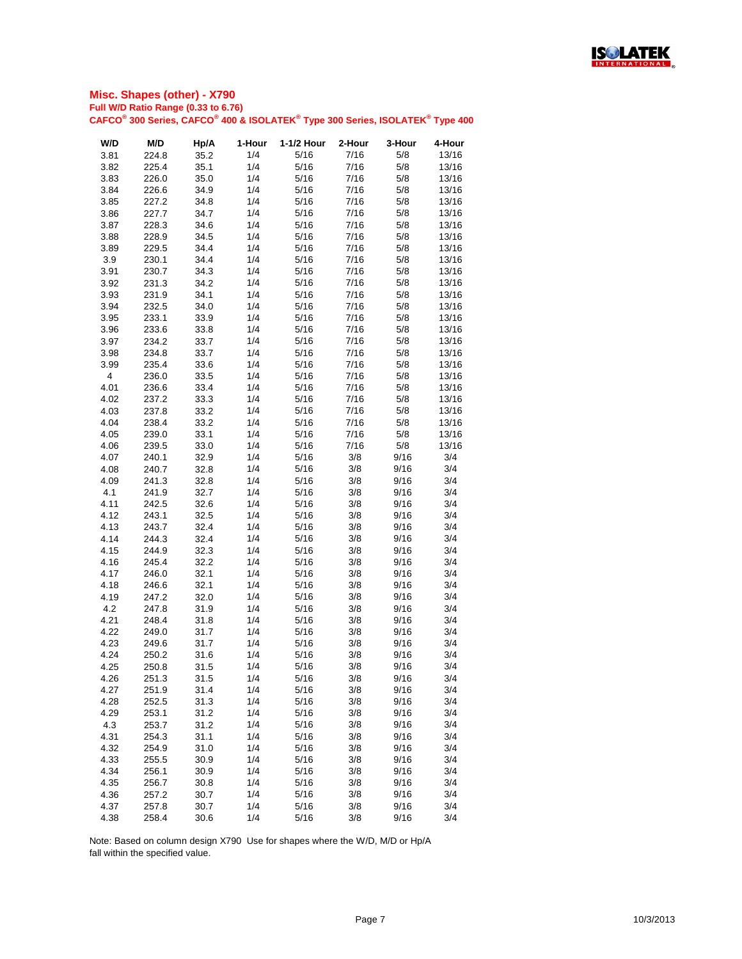

| W/D                     | M/D   | Hp/A | 1-Hour | 1-1/2 Hour | 2-Hour | 3-Hour | 4-Hour |
|-------------------------|-------|------|--------|------------|--------|--------|--------|
| 3.81                    | 224.8 | 35.2 | 1/4    | 5/16       | 7/16   | 5/8    | 13/16  |
| 3.82                    | 225.4 | 35.1 | 1/4    | 5/16       | 7/16   | 5/8    | 13/16  |
| 3.83                    | 226.0 | 35.0 | 1/4    | 5/16       | 7/16   | 5/8    | 13/16  |
|                         |       |      | 1/4    |            |        |        |        |
| 3.84                    | 226.6 | 34.9 |        | 5/16       | 7/16   | 5/8    | 13/16  |
| 3.85                    | 227.2 | 34.8 | 1/4    | 5/16       | 7/16   | 5/8    | 13/16  |
| 3.86                    | 227.7 | 34.7 | 1/4    | 5/16       | 7/16   | 5/8    | 13/16  |
| 3.87                    | 228.3 | 34.6 | 1/4    | 5/16       | 7/16   | 5/8    | 13/16  |
| 3.88                    | 228.9 | 34.5 | 1/4    | 5/16       | 7/16   | 5/8    | 13/16  |
| 3.89                    | 229.5 | 34.4 | 1/4    | 5/16       | 7/16   | 5/8    | 13/16  |
| 3.9                     | 230.1 | 34.4 | 1/4    | 5/16       | 7/16   | 5/8    | 13/16  |
| 3.91                    | 230.7 | 34.3 | 1/4    | 5/16       | 7/16   | 5/8    | 13/16  |
| 3.92                    | 231.3 | 34.2 | 1/4    | 5/16       | 7/16   | 5/8    | 13/16  |
| 3.93                    | 231.9 | 34.1 | 1/4    | 5/16       | 7/16   | 5/8    | 13/16  |
| 3.94                    | 232.5 | 34.0 | 1/4    | 5/16       | 7/16   | 5/8    | 13/16  |
| 3.95                    | 233.1 | 33.9 | 1/4    | 5/16       | 7/16   | 5/8    | 13/16  |
| 3.96                    | 233.6 | 33.8 | 1/4    | 5/16       | 7/16   | 5/8    | 13/16  |
|                         |       |      | 1/4    | 5/16       | 7/16   | 5/8    | 13/16  |
| 3.97                    | 234.2 | 33.7 |        |            |        |        |        |
| 3.98                    | 234.8 | 33.7 | 1/4    | 5/16       | 7/16   | 5/8    | 13/16  |
| 3.99                    | 235.4 | 33.6 | 1/4    | 5/16       | 7/16   | 5/8    | 13/16  |
| $\overline{\mathbf{4}}$ | 236.0 | 33.5 | 1/4    | 5/16       | 7/16   | 5/8    | 13/16  |
| 4.01                    | 236.6 | 33.4 | 1/4    | 5/16       | 7/16   | 5/8    | 13/16  |
| 4.02                    | 237.2 | 33.3 | 1/4    | 5/16       | 7/16   | 5/8    | 13/16  |
| 4.03                    | 237.8 | 33.2 | 1/4    | 5/16       | 7/16   | 5/8    | 13/16  |
| 4.04                    | 238.4 | 33.2 | 1/4    | 5/16       | 7/16   | 5/8    | 13/16  |
| 4.05                    | 239.0 | 33.1 | 1/4    | 5/16       | 7/16   | 5/8    | 13/16  |
| 4.06                    | 239.5 | 33.0 | 1/4    | 5/16       | 7/16   | 5/8    | 13/16  |
| 4.07                    | 240.1 | 32.9 | 1/4    | 5/16       | 3/8    | 9/16   | 3/4    |
| 4.08                    | 240.7 | 32.8 | 1/4    | 5/16       | 3/8    | 9/16   | 3/4    |
| 4.09                    | 241.3 |      | 1/4    | 5/16       | 3/8    | 9/16   | 3/4    |
|                         |       | 32.8 |        |            |        |        |        |
| 4.1                     | 241.9 | 32.7 | 1/4    | 5/16       | 3/8    | 9/16   | 3/4    |
| 4.11                    | 242.5 | 32.6 | 1/4    | 5/16       | 3/8    | 9/16   | 3/4    |
| 4.12                    | 243.1 | 32.5 | 1/4    | 5/16       | 3/8    | 9/16   | 3/4    |
| 4.13                    | 243.7 | 32.4 | 1/4    | 5/16       | 3/8    | 9/16   | 3/4    |
| 4.14                    | 244.3 | 32.4 | 1/4    | 5/16       | 3/8    | 9/16   | 3/4    |
| 4.15                    | 244.9 | 32.3 | 1/4    | 5/16       | 3/8    | 9/16   | 3/4    |
| 4.16                    | 245.4 | 32.2 | 1/4    | 5/16       | 3/8    | 9/16   | 3/4    |
| 4.17                    | 246.0 | 32.1 | 1/4    | 5/16       | 3/8    | 9/16   | 3/4    |
| 4.18                    | 246.6 | 32.1 | 1/4    | 5/16       | 3/8    | 9/16   | 3/4    |
| 4.19                    | 247.2 | 32.0 | 1/4    | 5/16       | 3/8    | 9/16   | 3/4    |
| 4.2                     | 247.8 | 31.9 | 1/4    | 5/16       | 3/8    | 9/16   | 3/4    |
| 4.21                    | 248.4 | 31.8 | 1/4    | 5/16       | 3/8    | 9/16   | 3/4    |
|                         |       |      |        |            |        |        |        |
| 4.22                    | 249.0 | 31.7 | 1/4    | 5/16       | 3/8    | 9/16   | 3/4    |
| 4.23                    | 249.6 | 31.7 | 1/4    | 5/16       | 3/8    | 9/16   | 3/4    |
| 4.24                    | 250.2 | 31.6 | 1/4    | 5/16       | 3/8    | 9/16   | 3/4    |
| 4.25                    | 250.8 | 31.5 | 1/4    | 5/16       | 3/8    | 9/16   | 3/4    |
| 4.26                    | 251.3 | 31.5 | 1/4    | 5/16       | 3/8    | 9/16   | 3/4    |
| 4.27                    | 251.9 | 31.4 | 1/4    | 5/16       | 3/8    | 9/16   | 3/4    |
| 4.28                    | 252.5 | 31.3 | 1/4    | 5/16       | 3/8    | 9/16   | 3/4    |
| 4.29                    | 253.1 | 31.2 | 1/4    | 5/16       | 3/8    | 9/16   | 3/4    |
| 4.3                     | 253.7 | 31.2 | 1/4    | 5/16       | 3/8    | 9/16   | 3/4    |
| 4.31                    | 254.3 | 31.1 | 1/4    | 5/16       | 3/8    | 9/16   | 3/4    |
| 4.32                    | 254.9 | 31.0 | 1/4    | 5/16       | 3/8    | 9/16   | 3/4    |
| 4.33                    |       | 30.9 | 1/4    | 5/16       | 3/8    | 9/16   | 3/4    |
|                         | 255.5 |      |        |            |        |        |        |
| 4.34                    | 256.1 | 30.9 | 1/4    | 5/16       | 3/8    | 9/16   | 3/4    |
| 4.35                    | 256.7 | 30.8 | 1/4    | 5/16       | 3/8    | 9/16   | 3/4    |
| 4.36                    | 257.2 | 30.7 | 1/4    | 5/16       | 3/8    | 9/16   | 3/4    |
| 4.37                    | 257.8 | 30.7 | 1/4    | 5/16       | 3/8    | 9/16   | 3/4    |
| 4.38                    | 258.4 | 30.6 | 1/4    | 5/16       | 3/8    | 9/16   | 3/4    |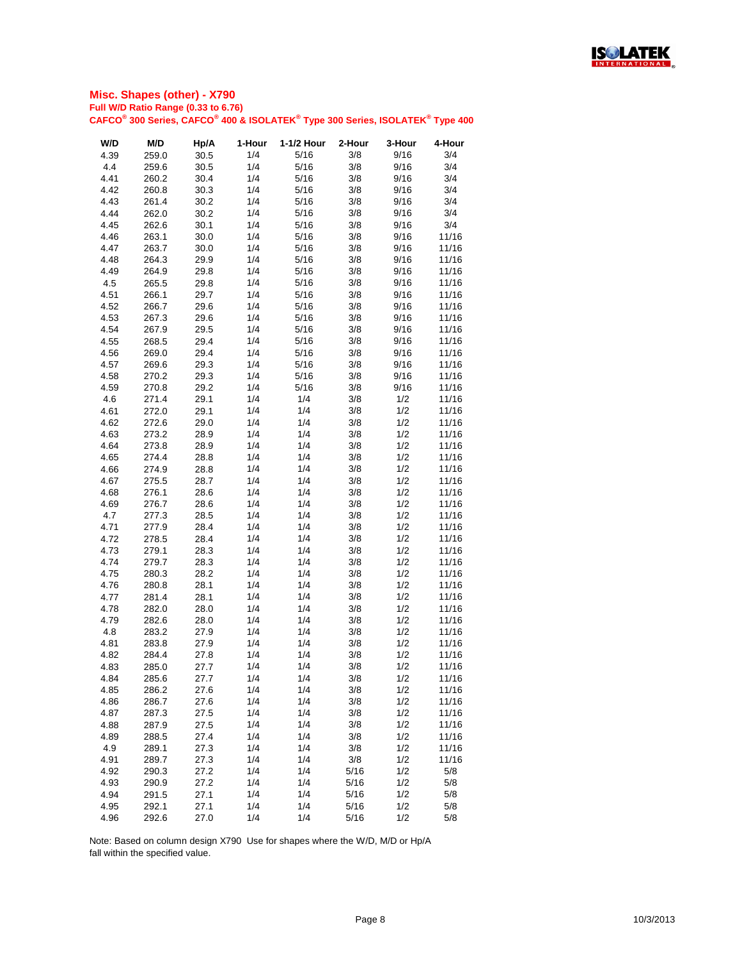

| W/D  | M/D   | Hp/A | 1-Hour | 1-1/2 Hour | 2-Hour | 3-Hour | 4-Hour |
|------|-------|------|--------|------------|--------|--------|--------|
| 4.39 | 259.0 | 30.5 | 1/4    | 5/16       | 3/8    | 9/16   | 3/4    |
| 4.4  | 259.6 | 30.5 | 1/4    | 5/16       | 3/8    | 9/16   | 3/4    |
| 4.41 | 260.2 | 30.4 | 1/4    | 5/16       | 3/8    | 9/16   | 3/4    |
| 4.42 | 260.8 | 30.3 | 1/4    | 5/16       | 3/8    | 9/16   | 3/4    |
| 4.43 | 261.4 | 30.2 | 1/4    | 5/16       | 3/8    | 9/16   | 3/4    |
| 4.44 | 262.0 | 30.2 | 1/4    | 5/16       | 3/8    | 9/16   | 3/4    |
| 4.45 | 262.6 | 30.1 | 1/4    | 5/16       | 3/8    | 9/16   | 3/4    |
| 4.46 | 263.1 | 30.0 | 1/4    | 5/16       | 3/8    | 9/16   | 11/16  |
| 4.47 | 263.7 | 30.0 | 1/4    | 5/16       | 3/8    | 9/16   | 11/16  |
| 4.48 | 264.3 | 29.9 | 1/4    | 5/16       | 3/8    | 9/16   | 11/16  |
| 4.49 | 264.9 | 29.8 | 1/4    | 5/16       | 3/8    | 9/16   | 11/16  |
| 4.5  | 265.5 | 29.8 | 1/4    | 5/16       | 3/8    | 9/16   | 11/16  |
| 4.51 | 266.1 | 29.7 | 1/4    | 5/16       | 3/8    | 9/16   | 11/16  |
| 4.52 | 266.7 | 29.6 | 1/4    | 5/16       | 3/8    | 9/16   | 11/16  |
| 4.53 | 267.3 | 29.6 | 1/4    | 5/16       | 3/8    | 9/16   | 11/16  |
| 4.54 | 267.9 | 29.5 | 1/4    | 5/16       | 3/8    | 9/16   | 11/16  |
| 4.55 | 268.5 | 29.4 | 1/4    | 5/16       | 3/8    | 9/16   | 11/16  |
| 4.56 | 269.0 | 29.4 | 1/4    | 5/16       | 3/8    | 9/16   | 11/16  |
| 4.57 | 269.6 | 29.3 | 1/4    | 5/16       | 3/8    | 9/16   | 11/16  |
| 4.58 | 270.2 | 29.3 | 1/4    | 5/16       | 3/8    | 9/16   | 11/16  |
| 4.59 | 270.8 | 29.2 | 1/4    | 5/16       | 3/8    | 9/16   | 11/16  |
| 4.6  | 271.4 | 29.1 | 1/4    | 1/4        | 3/8    | 1/2    | 11/16  |
| 4.61 | 272.0 | 29.1 | 1/4    | 1/4        | 3/8    | 1/2    | 11/16  |
| 4.62 | 272.6 | 29.0 | 1/4    | 1/4        | 3/8    | 1/2    | 11/16  |
| 4.63 | 273.2 | 28.9 | 1/4    | 1/4        | 3/8    | 1/2    | 11/16  |
| 4.64 | 273.8 | 28.9 | 1/4    | 1/4        | 3/8    | 1/2    | 11/16  |
| 4.65 | 274.4 | 28.8 | 1/4    | 1/4        | 3/8    | 1/2    | 11/16  |
| 4.66 | 274.9 | 28.8 | 1/4    | 1/4        | 3/8    | 1/2    | 11/16  |
| 4.67 | 275.5 | 28.7 | 1/4    | 1/4        | 3/8    | 1/2    | 11/16  |
| 4.68 | 276.1 | 28.6 | 1/4    | 1/4        | 3/8    | 1/2    | 11/16  |
| 4.69 | 276.7 | 28.6 | 1/4    | 1/4        | 3/8    | 1/2    | 11/16  |
| 4.7  | 277.3 | 28.5 | 1/4    | 1/4        | 3/8    | 1/2    | 11/16  |
| 4.71 | 277.9 | 28.4 | 1/4    | 1/4        | 3/8    | 1/2    | 11/16  |
| 4.72 | 278.5 | 28.4 | 1/4    | 1/4        | 3/8    | 1/2    | 11/16  |
| 4.73 | 279.1 | 28.3 | 1/4    | 1/4        | 3/8    | 1/2    | 11/16  |
| 4.74 | 279.7 | 28.3 | 1/4    | 1/4        | 3/8    | 1/2    | 11/16  |
| 4.75 | 280.3 | 28.2 | 1/4    | 1/4        | 3/8    | 1/2    | 11/16  |
|      |       | 28.1 | 1/4    | 1/4        | 3/8    | 1/2    | 11/16  |
| 4.76 | 280.8 |      |        |            |        |        | 11/16  |
| 4.77 | 281.4 | 28.1 | 1/4    | 1/4        | 3/8    | 1/2    |        |
| 4.78 | 282.0 | 28.0 | 1/4    | 1/4        | 3/8    | 1/2    | 11/16  |
| 4.79 | 282.6 | 28.0 | 1/4    | 1/4        | 3/8    | 1/2    | 11/16  |
| 4.8  | 283.2 | 27.9 | 1/4    | 1/4        | 3/8    | 1/2    | 11/16  |
| 4.81 | 283.8 | 27.9 | 1/4    | 1/4        | 3/8    | 1/2    | 11/16  |
| 4.82 | 284.4 | 27.8 | 1/4    | 1/4        | 3/8    | 1/2    | 11/16  |
| 4.83 | 285.0 | 27.7 | 1/4    | 1/4        | 3/8    | 1/2    | 11/16  |
| 4.84 | 285.6 | 27.7 | 1/4    | 1/4        | 3/8    | 1/2    | 11/16  |
| 4.85 | 286.2 | 27.6 | 1/4    | 1/4        | 3/8    | 1/2    | 11/16  |
| 4.86 | 286.7 | 27.6 | 1/4    | 1/4        | 3/8    | 1/2    | 11/16  |
| 4.87 | 287.3 | 27.5 | 1/4    | 1/4        | 3/8    | 1/2    | 11/16  |
| 4.88 | 287.9 | 27.5 | 1/4    | 1/4        | 3/8    | 1/2    | 11/16  |
| 4.89 | 288.5 | 27.4 | 1/4    | 1/4        | 3/8    | 1/2    | 11/16  |
| 4.9  | 289.1 | 27.3 | 1/4    | 1/4        | 3/8    | 1/2    | 11/16  |
| 4.91 | 289.7 | 27.3 | 1/4    | 1/4        | 3/8    | 1/2    | 11/16  |
| 4.92 | 290.3 | 27.2 | 1/4    | 1/4        | 5/16   | 1/2    | 5/8    |
| 4.93 | 290.9 | 27.2 | 1/4    | 1/4        | 5/16   | 1/2    | 5/8    |
| 4.94 | 291.5 | 27.1 | 1/4    | 1/4        | 5/16   | 1/2    | 5/8    |
| 4.95 | 292.1 | 27.1 | 1/4    | 1/4        | 5/16   | 1/2    | 5/8    |
| 4.96 | 292.6 | 27.0 | 1/4    | 1/4        | 5/16   | 1/2    | 5/8    |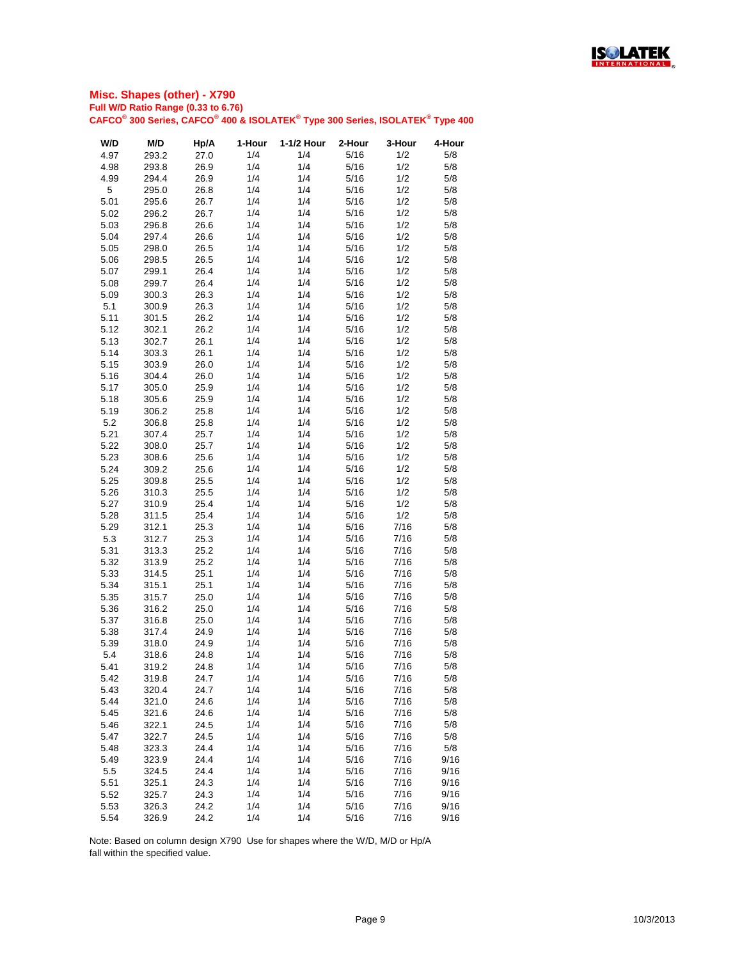

| W/D  | M/D   | Hp/A | 1-Hour | 1-1/2 Hour | 2-Hour | 3-Hour | 4-Hour |
|------|-------|------|--------|------------|--------|--------|--------|
| 4.97 | 293.2 | 27.0 | 1/4    | 1/4        | 5/16   | 1/2    | 5/8    |
| 4.98 | 293.8 | 26.9 | 1/4    | 1/4        | 5/16   | 1/2    | 5/8    |
| 4.99 | 294.4 | 26.9 | 1/4    | 1/4        | 5/16   | 1/2    | 5/8    |
| 5    | 295.0 | 26.8 | 1/4    | 1/4        | 5/16   | 1/2    | 5/8    |
| 5.01 | 295.6 | 26.7 | 1/4    | 1/4        | 5/16   | 1/2    | 5/8    |
| 5.02 | 296.2 | 26.7 | 1/4    | 1/4        | 5/16   | 1/2    | 5/8    |
|      | 296.8 |      | 1/4    | 1/4        | 5/16   | 1/2    |        |
| 5.03 |       | 26.6 |        |            |        |        | 5/8    |
| 5.04 | 297.4 | 26.6 | 1/4    | 1/4        | 5/16   | 1/2    | 5/8    |
| 5.05 | 298.0 | 26.5 | 1/4    | 1/4        | 5/16   | 1/2    | 5/8    |
| 5.06 | 298.5 | 26.5 | 1/4    | 1/4        | 5/16   | 1/2    | 5/8    |
| 5.07 | 299.1 | 26.4 | 1/4    | 1/4        | 5/16   | 1/2    | 5/8    |
| 5.08 | 299.7 | 26.4 | 1/4    | 1/4        | 5/16   | 1/2    | 5/8    |
| 5.09 | 300.3 | 26.3 | 1/4    | 1/4        | 5/16   | 1/2    | 5/8    |
| 5.1  | 300.9 | 26.3 | 1/4    | 1/4        | 5/16   | 1/2    | 5/8    |
| 5.11 | 301.5 | 26.2 | 1/4    | 1/4        | 5/16   | 1/2    | 5/8    |
| 5.12 | 302.1 | 26.2 | 1/4    | 1/4        | 5/16   | 1/2    | 5/8    |
| 5.13 | 302.7 | 26.1 | 1/4    | 1/4        | 5/16   | 1/2    | 5/8    |
| 5.14 | 303.3 | 26.1 | 1/4    | 1/4        | 5/16   | 1/2    | 5/8    |
| 5.15 | 303.9 | 26.0 | 1/4    | 1/4        | 5/16   | 1/2    | 5/8    |
| 5.16 | 304.4 | 26.0 | 1/4    | 1/4        | 5/16   | 1/2    | 5/8    |
| 5.17 | 305.0 | 25.9 | 1/4    | 1/4        | 5/16   | 1/2    | 5/8    |
| 5.18 | 305.6 | 25.9 | 1/4    | 1/4        | 5/16   | 1/2    | 5/8    |
| 5.19 | 306.2 | 25.8 | 1/4    | 1/4        | 5/16   | 1/2    | 5/8    |
| 5.2  | 306.8 | 25.8 | 1/4    | 1/4        | 5/16   | 1/2    | 5/8    |
| 5.21 | 307.4 | 25.7 | 1/4    | 1/4        | 5/16   | 1/2    | 5/8    |
| 5.22 | 308.0 | 25.7 | 1/4    | 1/4        | 5/16   | 1/2    | 5/8    |
| 5.23 | 308.6 | 25.6 | 1/4    | 1/4        | 5/16   | 1/2    | 5/8    |
| 5.24 | 309.2 | 25.6 | 1/4    | 1/4        | 5/16   | 1/2    | 5/8    |
| 5.25 | 309.8 | 25.5 | 1/4    | 1/4        | 5/16   | 1/2    | 5/8    |
|      |       |      | 1/4    | 1/4        |        | 1/2    |        |
| 5.26 | 310.3 | 25.5 |        |            | 5/16   |        | 5/8    |
| 5.27 | 310.9 | 25.4 | 1/4    | 1/4        | 5/16   | 1/2    | 5/8    |
| 5.28 | 311.5 | 25.4 | 1/4    | 1/4        | 5/16   | 1/2    | 5/8    |
| 5.29 | 312.1 | 25.3 | 1/4    | 1/4        | 5/16   | 7/16   | 5/8    |
| 5.3  | 312.7 | 25.3 | 1/4    | 1/4        | 5/16   | 7/16   | 5/8    |
| 5.31 | 313.3 | 25.2 | 1/4    | 1/4        | 5/16   | 7/16   | 5/8    |
| 5.32 | 313.9 | 25.2 | 1/4    | 1/4        | 5/16   | 7/16   | 5/8    |
| 5.33 | 314.5 | 25.1 | 1/4    | 1/4        | 5/16   | 7/16   | 5/8    |
| 5.34 | 315.1 | 25.1 | 1/4    | 1/4        | 5/16   | 7/16   | 5/8    |
| 5.35 | 315.7 | 25.0 | 1/4    | 1/4        | 5/16   | 7/16   | 5/8    |
| 5.36 | 316.2 | 25.0 | 1/4    | 1/4        | 5/16   | 7/16   | 5/8    |
| 5.37 | 316.8 | 25.0 | 1/4    | 1/4        | 5/16   | 7/16   | 5/8    |
| 5.38 | 317.4 | 24.9 | 1/4    | 1/4        | 5/16   | 7/16   | 5/8    |
| 5.39 | 318.0 | 24.9 | 1/4    | 1/4        | 5/16   | 7/16   | 5/8    |
| 5.4  | 318.6 | 24.8 | 1/4    | 1/4        | 5/16   | 7/16   | 5/8    |
| 5.41 | 319.2 | 24.8 | 1/4    | 1/4        | 5/16   | 7/16   | 5/8    |
| 5.42 | 319.8 | 24.7 | 1/4    | 1/4        | 5/16   | 7/16   | 5/8    |
| 5.43 | 320.4 | 24.7 | 1/4    | 1/4        | 5/16   | 7/16   | 5/8    |
| 5.44 | 321.0 | 24.6 | 1/4    | 1/4        | 5/16   | 7/16   | 5/8    |
| 5.45 | 321.6 | 24.6 | 1/4    | 1/4        | 5/16   | 7/16   | 5/8    |
| 5.46 | 322.1 | 24.5 | 1/4    | 1/4        | 5/16   | 7/16   | 5/8    |
| 5.47 | 322.7 | 24.5 | 1/4    | 1/4        | 5/16   | 7/16   | 5/8    |
|      |       | 24.4 | 1/4    | 1/4        | 5/16   | 7/16   | 5/8    |
| 5.48 | 323.3 |      | 1/4    | 1/4        | 5/16   |        | 9/16   |
| 5.49 | 323.9 | 24.4 |        |            |        | 7/16   |        |
| 5.5  | 324.5 | 24.4 | 1/4    | 1/4        | 5/16   | 7/16   | 9/16   |
| 5.51 | 325.1 | 24.3 | 1/4    | 1/4        | 5/16   | 7/16   | 9/16   |
| 5.52 | 325.7 | 24.3 | 1/4    | 1/4        | 5/16   | 7/16   | 9/16   |
| 5.53 | 326.3 | 24.2 | 1/4    | 1/4        | 5/16   | 7/16   | 9/16   |
| 5.54 | 326.9 | 24.2 | 1/4    | 1/4        | 5/16   | 7/16   | 9/16   |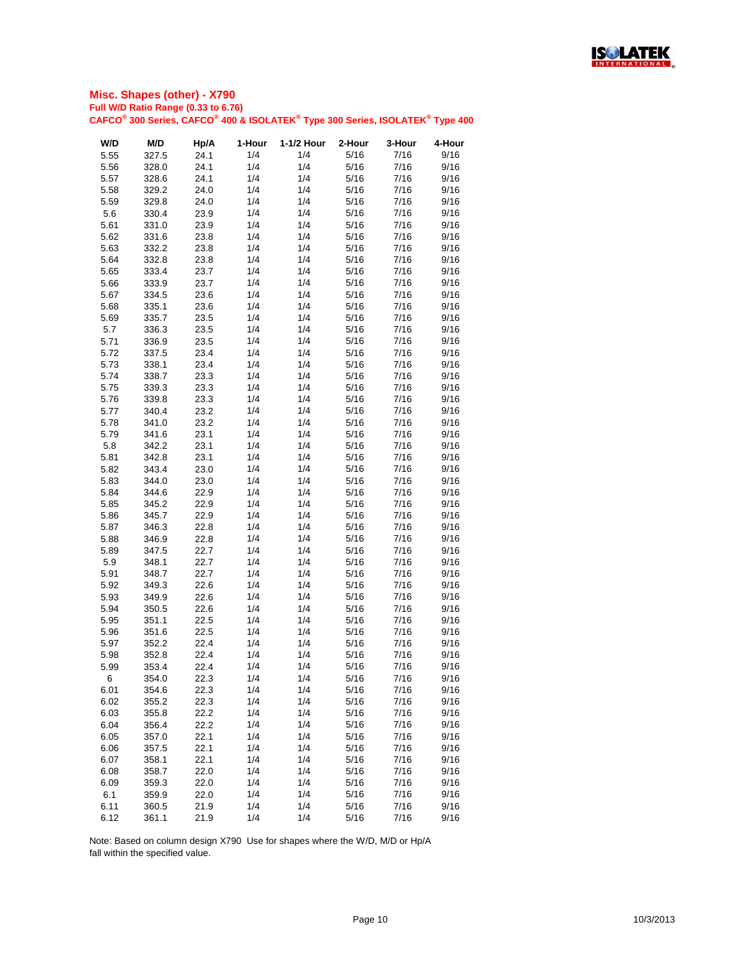

| W/D  | M/D   | Hp/A | 1-Hour | 1-1/2 Hour | 2-Hour | 3-Hour | 4-Hour |
|------|-------|------|--------|------------|--------|--------|--------|
| 5.55 | 327.5 | 24.1 | 1/4    | 1/4        | 5/16   | 7/16   | 9/16   |
| 5.56 | 328.0 | 24.1 | 1/4    | 1/4        | 5/16   | 7/16   | 9/16   |
| 5.57 | 328.6 | 24.1 | 1/4    | 1/4        | 5/16   | 7/16   | 9/16   |
| 5.58 | 329.2 | 24.0 | 1/4    | 1/4        | 5/16   | 7/16   | 9/16   |
| 5.59 | 329.8 | 24.0 | 1/4    | 1/4        | 5/16   | 7/16   | 9/16   |
|      |       |      |        |            |        |        |        |
| 5.6  | 330.4 | 23.9 | 1/4    | 1/4        | 5/16   | 7/16   | 9/16   |
| 5.61 | 331.0 | 23.9 | 1/4    | 1/4        | 5/16   | 7/16   | 9/16   |
| 5.62 | 331.6 | 23.8 | 1/4    | 1/4        | 5/16   | 7/16   | 9/16   |
| 5.63 | 332.2 | 23.8 | 1/4    | 1/4        | 5/16   | 7/16   | 9/16   |
| 5.64 | 332.8 | 23.8 | 1/4    | 1/4        | 5/16   | 7/16   | 9/16   |
| 5.65 | 333.4 | 23.7 | 1/4    | 1/4        | 5/16   | 7/16   | 9/16   |
| 5.66 | 333.9 | 23.7 | 1/4    | 1/4        | 5/16   | 7/16   | 9/16   |
| 5.67 | 334.5 | 23.6 | 1/4    | 1/4        | 5/16   | 7/16   | 9/16   |
| 5.68 | 335.1 | 23.6 | 1/4    | 1/4        | 5/16   | 7/16   | 9/16   |
| 5.69 | 335.7 | 23.5 | 1/4    | 1/4        | 5/16   | 7/16   | 9/16   |
| 5.7  | 336.3 | 23.5 | 1/4    | 1/4        | 5/16   | 7/16   | 9/16   |
| 5.71 | 336.9 | 23.5 | 1/4    | 1/4        | 5/16   | 7/16   | 9/16   |
| 5.72 | 337.5 | 23.4 | 1/4    | 1/4        | 5/16   | 7/16   | 9/16   |
| 5.73 | 338.1 | 23.4 | 1/4    | 1/4        | 5/16   | 7/16   | 9/16   |
| 5.74 | 338.7 | 23.3 | 1/4    | 1/4        | 5/16   | 7/16   | 9/16   |
| 5.75 | 339.3 | 23.3 | 1/4    | 1/4        | 5/16   | 7/16   | 9/16   |
|      |       |      | 1/4    | 1/4        |        |        |        |
| 5.76 | 339.8 | 23.3 |        |            | 5/16   | 7/16   | 9/16   |
| 5.77 | 340.4 | 23.2 | 1/4    | 1/4        | 5/16   | 7/16   | 9/16   |
| 5.78 | 341.0 | 23.2 | 1/4    | 1/4        | 5/16   | 7/16   | 9/16   |
| 5.79 | 341.6 | 23.1 | 1/4    | 1/4        | 5/16   | 7/16   | 9/16   |
| 5.8  | 342.2 | 23.1 | 1/4    | 1/4        | 5/16   | 7/16   | 9/16   |
| 5.81 | 342.8 | 23.1 | 1/4    | 1/4        | 5/16   | 7/16   | 9/16   |
| 5.82 | 343.4 | 23.0 | 1/4    | 1/4        | 5/16   | 7/16   | 9/16   |
| 5.83 | 344.0 | 23.0 | 1/4    | 1/4        | 5/16   | 7/16   | 9/16   |
| 5.84 | 344.6 | 22.9 | 1/4    | 1/4        | 5/16   | 7/16   | 9/16   |
| 5.85 | 345.2 | 22.9 | 1/4    | 1/4        | 5/16   | 7/16   | 9/16   |
| 5.86 | 345.7 | 22.9 | 1/4    | 1/4        | 5/16   | 7/16   | 9/16   |
| 5.87 | 346.3 | 22.8 | 1/4    | 1/4        | 5/16   | 7/16   | 9/16   |
| 5.88 | 346.9 | 22.8 | 1/4    | 1/4        | 5/16   | 7/16   | 9/16   |
| 5.89 | 347.5 | 22.7 | 1/4    | 1/4        | 5/16   | 7/16   | 9/16   |
| 5.9  | 348.1 | 22.7 | 1/4    | 1/4        | 5/16   | 7/16   | 9/16   |
| 5.91 | 348.7 | 22.7 | 1/4    | 1/4        | 5/16   | 7/16   | 9/16   |
| 5.92 | 349.3 | 22.6 | 1/4    | 1/4        | 5/16   | 7/16   | 9/16   |
| 5.93 | 349.9 | 22.6 | 1/4    | 1/4        | 5/16   | 7/16   | 9/16   |
|      |       |      |        | 1/4        |        |        |        |
| 5.94 | 350.5 | 22.6 | 1/4    |            | 5/16   | 7/16   | 9/16   |
| 5.95 | 351.1 | 22.5 | 1/4    | 1/4        | 5/16   | 7/16   | 9/16   |
| 5.96 | 351.6 | 22.5 | 1/4    | 1/4        | 5/16   | 7/16   | 9/16   |
| 5.97 | 352.2 | 22.4 | 1/4    | 1/4        | 5/16   | 7/16   | 9/16   |
| 5.98 | 352.8 | 22.4 | 1/4    | 1/4        | 5/16   | 7/16   | 9/16   |
| 5.99 | 353.4 | 22.4 | 1/4    | 1/4        | 5/16   | 7/16   | 9/16   |
| 6    | 354.0 | 22.3 | 1/4    | 1/4        | 5/16   | 7/16   | 9/16   |
| 6.01 | 354.6 | 22.3 | 1/4    | 1/4        | 5/16   | 7/16   | 9/16   |
| 6.02 | 355.2 | 22.3 | 1/4    | 1/4        | 5/16   | 7/16   | 9/16   |
| 6.03 | 355.8 | 22.2 | 1/4    | 1/4        | 5/16   | 7/16   | 9/16   |
| 6.04 | 356.4 | 22.2 | 1/4    | 1/4        | 5/16   | 7/16   | 9/16   |
| 6.05 | 357.0 | 22.1 | 1/4    | 1/4        | 5/16   | 7/16   | 9/16   |
| 6.06 | 357.5 | 22.1 | 1/4    | 1/4        | 5/16   | 7/16   | 9/16   |
| 6.07 | 358.1 | 22.1 | 1/4    | 1/4        | 5/16   | 7/16   | 9/16   |
| 6.08 | 358.7 | 22.0 | 1/4    | 1/4        | 5/16   | 7/16   | 9/16   |
| 6.09 | 359.3 | 22.0 | 1/4    | 1/4        | 5/16   | 7/16   | 9/16   |
|      |       |      |        |            |        |        |        |
| 6.1  | 359.9 | 22.0 | 1/4    | 1/4        | 5/16   | 7/16   | 9/16   |
| 6.11 | 360.5 | 21.9 | 1/4    | 1/4        | 5/16   | 7/16   | 9/16   |
| 6.12 | 361.1 | 21.9 | 1/4    | 1/4        | 5/16   | 7/16   | 9/16   |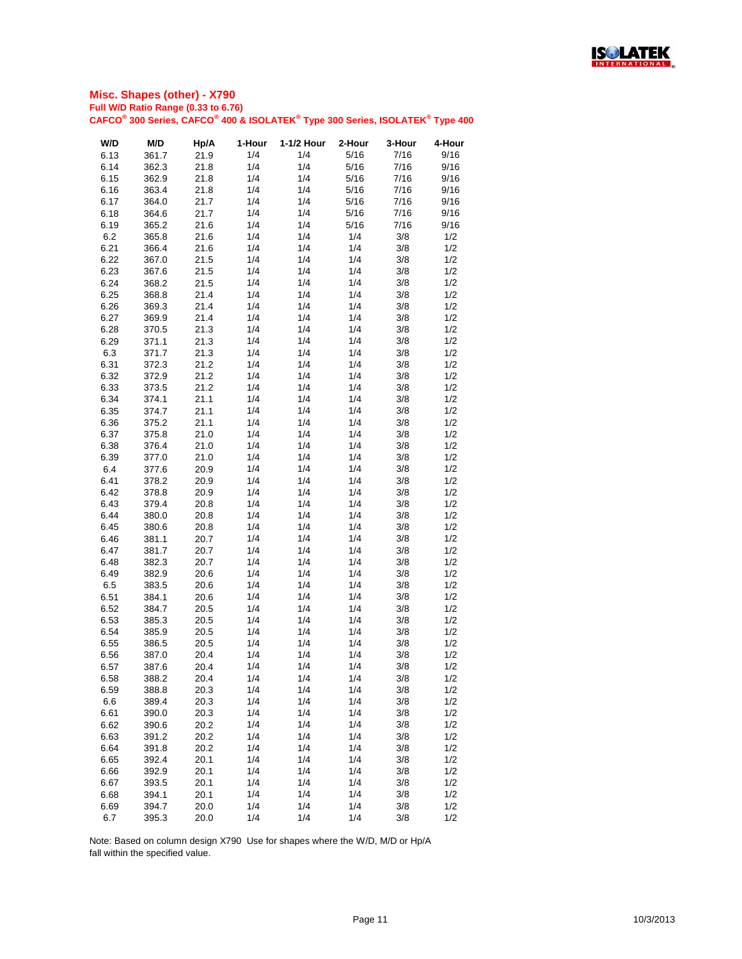

| W/D  | M/D   | Hp/A | 1-Hour | 1-1/2 Hour | 2-Hour | 3-Hour | 4-Hour |
|------|-------|------|--------|------------|--------|--------|--------|
| 6.13 | 361.7 | 21.9 | 1/4    | 1/4        | 5/16   | 7/16   | 9/16   |
| 6.14 | 362.3 | 21.8 | 1/4    | 1/4        | 5/16   | 7/16   | 9/16   |
| 6.15 | 362.9 | 21.8 | 1/4    | 1/4        | 5/16   | 7/16   | 9/16   |
|      |       |      | 1/4    | 1/4        | 5/16   | 7/16   | 9/16   |
| 6.16 | 363.4 | 21.8 |        |            |        |        |        |
| 6.17 | 364.0 | 21.7 | 1/4    | 1/4        | 5/16   | 7/16   | 9/16   |
| 6.18 | 364.6 | 21.7 | 1/4    | 1/4        | 5/16   | 7/16   | 9/16   |
| 6.19 | 365.2 | 21.6 | 1/4    | 1/4        | 5/16   | 7/16   | 9/16   |
| 6.2  | 365.8 | 21.6 | 1/4    | 1/4        | 1/4    | 3/8    | 1/2    |
| 6.21 | 366.4 | 21.6 | 1/4    | 1/4        | 1/4    | 3/8    | 1/2    |
| 6.22 | 367.0 | 21.5 | 1/4    | 1/4        | 1/4    | 3/8    | 1/2    |
| 6.23 | 367.6 | 21.5 | 1/4    | 1/4        | 1/4    | 3/8    | 1/2    |
| 6.24 | 368.2 | 21.5 | 1/4    | 1/4        | 1/4    | 3/8    | 1/2    |
| 6.25 | 368.8 | 21.4 | 1/4    | 1/4        | 1/4    | 3/8    | 1/2    |
| 6.26 | 369.3 | 21.4 | 1/4    | 1/4        | 1/4    | 3/8    | 1/2    |
| 6.27 | 369.9 | 21.4 | 1/4    | 1/4        | 1/4    | 3/8    | 1/2    |
|      |       |      | 1/4    | 1/4        |        |        |        |
| 6.28 | 370.5 | 21.3 |        |            | 1/4    | 3/8    | 1/2    |
| 6.29 | 371.1 | 21.3 | 1/4    | 1/4        | 1/4    | 3/8    | 1/2    |
| 6.3  | 371.7 | 21.3 | 1/4    | 1/4        | 1/4    | 3/8    | 1/2    |
| 6.31 | 372.3 | 21.2 | 1/4    | 1/4        | 1/4    | 3/8    | 1/2    |
| 6.32 | 372.9 | 21.2 | 1/4    | 1/4        | 1/4    | 3/8    | 1/2    |
| 6.33 | 373.5 | 21.2 | 1/4    | 1/4        | 1/4    | 3/8    | 1/2    |
| 6.34 | 374.1 | 21.1 | 1/4    | 1/4        | 1/4    | 3/8    | 1/2    |
| 6.35 | 374.7 | 21.1 | 1/4    | 1/4        | 1/4    | 3/8    | 1/2    |
| 6.36 | 375.2 | 21.1 | 1/4    | 1/4        | 1/4    | 3/8    | 1/2    |
| 6.37 | 375.8 | 21.0 | 1/4    | 1/4        | 1/4    | 3/8    | 1/2    |
| 6.38 | 376.4 | 21.0 | 1/4    | 1/4        | 1/4    | 3/8    | 1/2    |
| 6.39 | 377.0 | 21.0 | 1/4    | 1/4        | 1/4    | 3/8    | 1/2    |
|      |       |      | 1/4    | 1/4        | 1/4    |        |        |
| 6.4  | 377.6 | 20.9 |        |            |        | 3/8    | 1/2    |
| 6.41 | 378.2 | 20.9 | 1/4    | 1/4        | 1/4    | 3/8    | 1/2    |
| 6.42 | 378.8 | 20.9 | 1/4    | 1/4        | 1/4    | 3/8    | 1/2    |
| 6.43 | 379.4 | 20.8 | 1/4    | 1/4        | 1/4    | 3/8    | 1/2    |
| 6.44 | 380.0 | 20.8 | 1/4    | 1/4        | 1/4    | 3/8    | 1/2    |
| 6.45 | 380.6 | 20.8 | 1/4    | 1/4        | 1/4    | 3/8    | 1/2    |
| 6.46 | 381.1 | 20.7 | 1/4    | 1/4        | 1/4    | 3/8    | 1/2    |
| 6.47 | 381.7 | 20.7 | 1/4    | 1/4        | 1/4    | 3/8    | 1/2    |
| 6.48 | 382.3 | 20.7 | 1/4    | 1/4        | 1/4    | 3/8    | 1/2    |
| 6.49 | 382.9 | 20.6 | 1/4    | 1/4        | 1/4    | 3/8    | 1/2    |
| 6.5  | 383.5 | 20.6 | 1/4    | 1/4        | 1/4    | 3/8    | 1/2    |
| 6.51 | 384.1 | 20.6 | 1/4    | 1/4        | 1/4    | 3/8    | 1/2    |
|      |       |      |        |            |        |        |        |
| 6.52 | 384.7 | 20.5 | 1/4    | 1/4        | 1/4    | 3/8    | 1/2    |
| 6.53 | 385.3 | 20.5 | 1/4    | 1/4        | 1/4    | 3/8    | 1/2    |
| 6.54 | 385.9 | 20.5 | 1/4    | 1/4        | 1/4    | 3/8    | 1/2    |
| 6.55 | 386.5 | 20.5 | 1/4    | 1/4        | 1/4    | 3/8    | 1/2    |
| 6.56 | 387.0 | 20.4 | 1/4    | 1/4        | 1/4    | 3/8    | 1/2    |
| 6.57 | 387.6 | 20.4 | 1/4    | 1/4        | 1/4    | 3/8    | 1/2    |
| 6.58 | 388.2 | 20.4 | 1/4    | 1/4        | 1/4    | 3/8    | 1/2    |
| 6.59 | 388.8 | 20.3 | 1/4    | 1/4        | 1/4    | 3/8    | 1/2    |
| 6.6  | 389.4 | 20.3 | 1/4    | 1/4        | 1/4    | 3/8    | 1/2    |
| 6.61 | 390.0 | 20.3 | 1/4    | 1/4        | 1/4    | 3/8    | 1/2    |
| 6.62 | 390.6 | 20.2 | 1/4    | 1/4        | 1/4    | 3/8    | 1/2    |
| 6.63 | 391.2 | 20.2 | 1/4    | 1/4        | 1/4    | 3/8    | 1/2    |
|      |       |      |        |            |        |        |        |
| 6.64 | 391.8 | 20.2 | 1/4    | 1/4        | 1/4    | 3/8    | 1/2    |
| 6.65 | 392.4 | 20.1 | 1/4    | 1/4        | 1/4    | 3/8    | 1/2    |
| 6.66 | 392.9 | 20.1 | 1/4    | 1/4        | 1/4    | 3/8    | 1/2    |
| 6.67 | 393.5 | 20.1 | 1/4    | 1/4        | 1/4    | 3/8    | 1/2    |
| 6.68 | 394.1 | 20.1 | 1/4    | 1/4        | 1/4    | 3/8    | 1/2    |
| 6.69 | 394.7 | 20.0 | 1/4    | 1/4        | 1/4    | 3/8    | 1/2    |
| 6.7  | 395.3 | 20.0 | 1/4    | 1/4        | 1/4    | 3/8    | 1/2    |